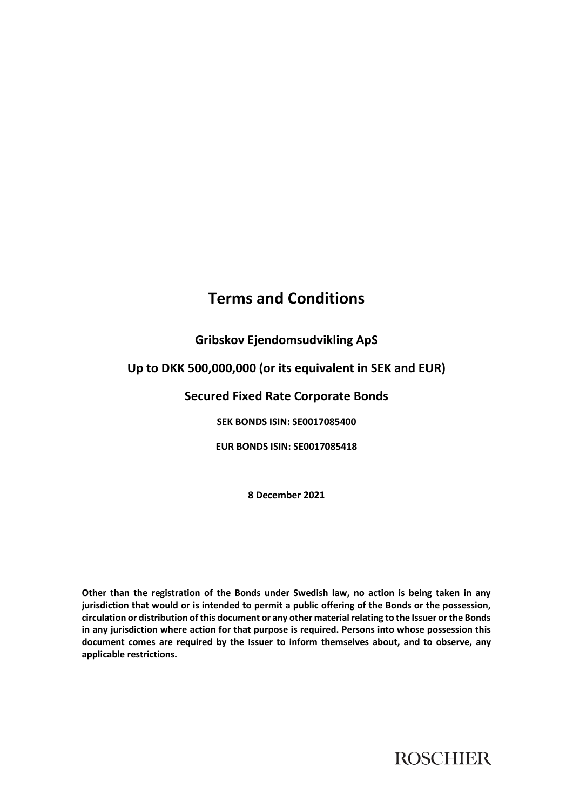# **Terms and Conditions**

# **Gribskov Ejendomsudvikling ApS**

# **Up to DKK 500,000,000 (or its equivalent in SEK and EUR)**

# **Secured Fixed Rate Corporate Bonds**

**SEK BONDS ISIN: SE0017085400**

**EUR BONDS ISIN: SE0017085418**

**8 December 2021**

**Other than the registration of the Bonds under Swedish law, no action is being taken in any jurisdiction that would or is intended to permit a public offering of the Bonds or the possession, circulation or distribution of this document or any other material relating to the Issuer or the Bonds in any jurisdiction where action for that purpose is required. Persons into whose possession this document comes are required by the Issuer to inform themselves about, and to observe, any applicable restrictions.**

**ROSCHIER**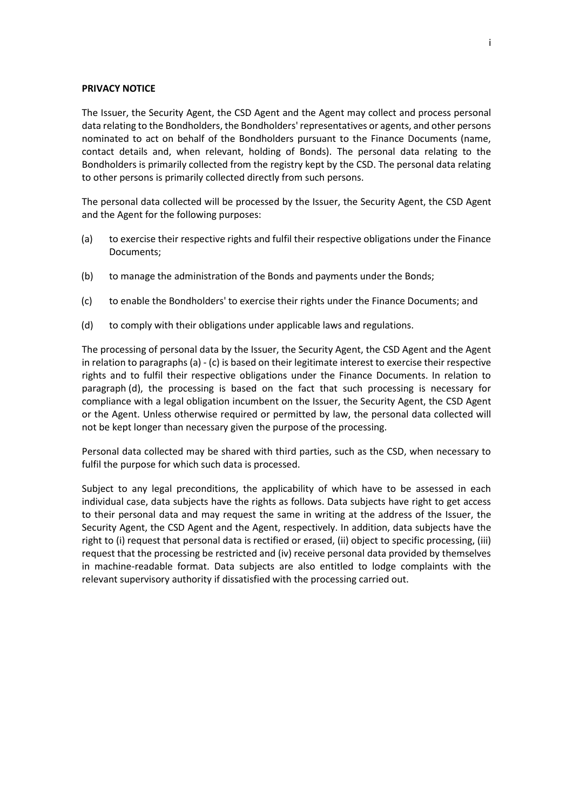#### **PRIVACY NOTICE**

The Issuer, the Security Agent, the CSD Agent and the Agent may collect and process personal data relating to the Bondholders, the Bondholders' representatives or agents, and other persons nominated to act on behalf of the Bondholders pursuant to the Finance Documents (name, contact details and, when relevant, holding of Bonds). The personal data relating to the Bondholders is primarily collected from the registry kept by the CSD. The personal data relating to other persons is primarily collected directly from such persons.

The personal data collected will be processed by the Issuer, the Security Agent, the CSD Agent and the Agent for the following purposes:

- <span id="page-1-0"></span>(a) to exercise their respective rights and fulfil their respective obligations under the Finance Documents;
- (b) to manage the administration of the Bonds and payments under the Bonds;
- <span id="page-1-1"></span>(c) to enable the Bondholders' to exercise their rights under the Finance Documents; and
- <span id="page-1-2"></span>(d) to comply with their obligations under applicable laws and regulations.

The processing of personal data by the Issuer, the Security Agent, the CSD Agent and the Agent in relation to paragraphs [\(a\)](#page-1-0) - [\(c\)](#page-1-1) is based on their legitimate interest to exercise their respective rights and to fulfil their respective obligations under the Finance Documents. In relation to paragraph [\(d\),](#page-1-2) the processing is based on the fact that such processing is necessary for compliance with a legal obligation incumbent on the Issuer, the Security Agent, the CSD Agent or the Agent. Unless otherwise required or permitted by law, the personal data collected will not be kept longer than necessary given the purpose of the processing.

Personal data collected may be shared with third parties, such as the CSD, when necessary to fulfil the purpose for which such data is processed.

Subject to any legal preconditions, the applicability of which have to be assessed in each individual case, data subjects have the rights as follows. Data subjects have right to get access to their personal data and may request the same in writing at the address of the Issuer, the Security Agent, the CSD Agent and the Agent, respectively. In addition, data subjects have the right to (i) request that personal data is rectified or erased, (ii) object to specific processing, (iii) request that the processing be restricted and (iv) receive personal data provided by themselves in machine-readable format. Data subjects are also entitled to lodge complaints with the relevant supervisory authority if dissatisfied with the processing carried out.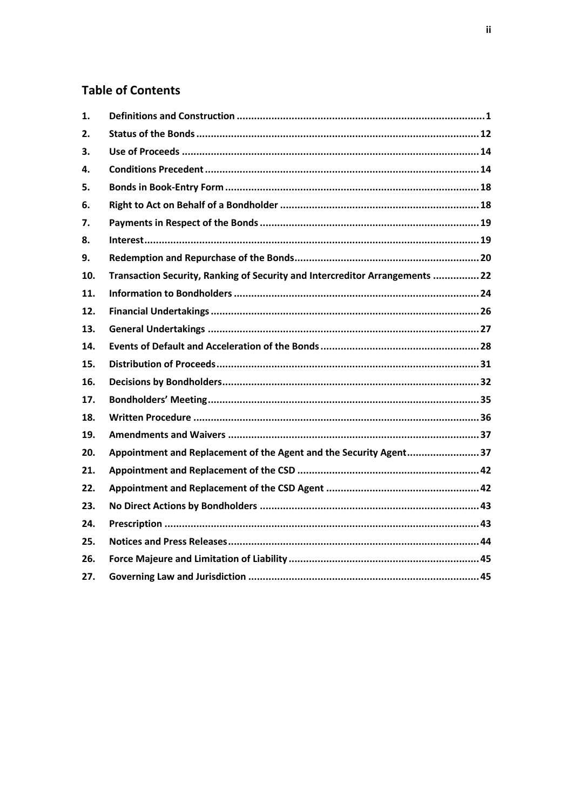# **Table of Contents**

| 1.  |                                                                              |
|-----|------------------------------------------------------------------------------|
| 2.  |                                                                              |
| 3.  |                                                                              |
| 4.  |                                                                              |
| 5.  |                                                                              |
| 6.  |                                                                              |
| 7.  |                                                                              |
| 8.  |                                                                              |
| 9.  |                                                                              |
| 10. | Transaction Security, Ranking of Security and Intercreditor Arrangements  22 |
| 11. |                                                                              |
| 12. |                                                                              |
| 13. |                                                                              |
| 14. |                                                                              |
| 15. |                                                                              |
| 16. |                                                                              |
| 17. |                                                                              |
| 18. |                                                                              |
| 19. |                                                                              |
| 20. | Appointment and Replacement of the Agent and the Security Agent37            |
| 21. |                                                                              |
| 22. |                                                                              |
| 23. |                                                                              |
| 24. |                                                                              |
| 25. |                                                                              |
| 26. |                                                                              |
| 27. |                                                                              |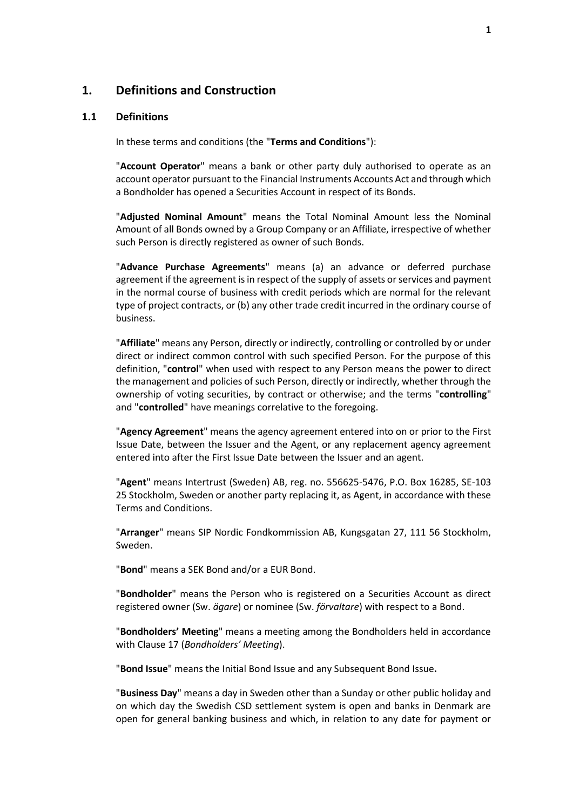## <span id="page-3-0"></span>**1. Definitions and Construction**

#### **1.1 Definitions**

In these terms and conditions (the "**Terms and Conditions**"):

"**Account Operator**" means a bank or other party duly authorised to operate as an account operator pursuant to the Financial Instruments Accounts Act and through which a Bondholder has opened a Securities Account in respect of its Bonds.

"**Adjusted Nominal Amount**" means the Total Nominal Amount less the Nominal Amount of all Bonds owned by a Group Company or an Affiliate, irrespective of whether such Person is directly registered as owner of such Bonds.

"**Advance Purchase Agreements**" means (a) an advance or deferred purchase agreement if the agreement is in respect of the supply of assets or services and payment in the normal course of business with credit periods which are normal for the relevant type of project contracts, or (b) any other trade credit incurred in the ordinary course of business.

"**Affiliate**" means any Person, directly or indirectly, controlling or controlled by or under direct or indirect common control with such specified Person. For the purpose of this definition, "**control**" when used with respect to any Person means the power to direct the management and policies of such Person, directly or indirectly, whether through the ownership of voting securities, by contract or otherwise; and the terms "**controlling**" and "**controlled**" have meanings correlative to the foregoing.

"**Agency Agreement**" means the agency agreement entered into on or prior to the First Issue Date, between the Issuer and the Agent, or any replacement agency agreement entered into after the First Issue Date between the Issuer and an agent.

"**Agent**" means Intertrust (Sweden) AB, reg. no. 556625-5476, P.O. Box 16285, SE-103 25 Stockholm, Sweden or another party replacing it, as Agent, in accordance with these Terms and Conditions.

"**Arranger**" means SIP Nordic Fondkommission AB, Kungsgatan 27, 111 56 Stockholm, Sweden.

"**Bond**" means a SEK Bond and/or a EUR Bond.

"**Bondholder**" means the Person who is registered on a Securities Account as direct registered owner (Sw. *ägare*) or nominee (Sw. *förvaltare*) with respect to a Bond.

"**Bondholders' Meeting**" means a meeting among the Bondholders held in accordance with Clause [17](#page-37-0) (*[Bondholders' Meeting](#page-37-0)*).

"**Bond Issue**" means the Initial Bond Issue and any Subsequent Bond Issue**.**

"**Business Day**" means a day in Sweden other than a Sunday or other public holiday and on which day the Swedish CSD settlement system is open and banks in Denmark are open for general banking business and which, in relation to any date for payment or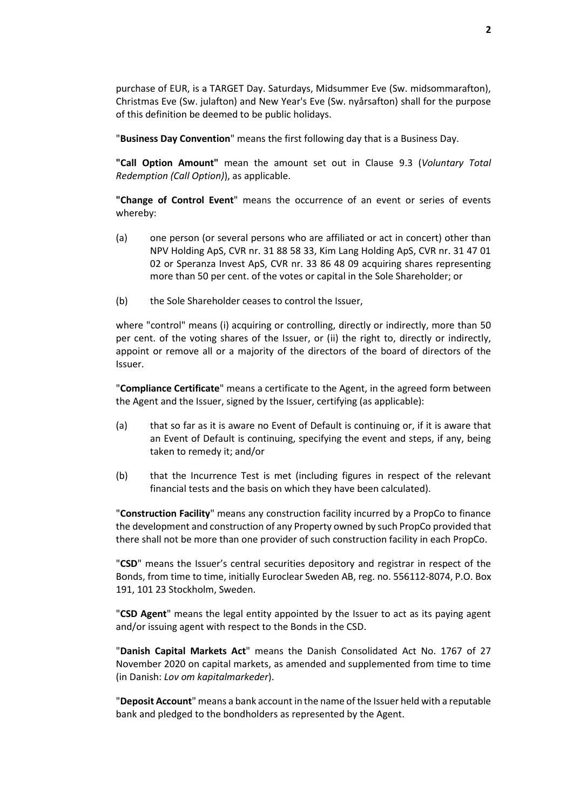purchase of EUR, is a TARGET Day. Saturdays, Midsummer Eve (Sw. midsommarafton), Christmas Eve (Sw. julafton) and New Year's Eve (Sw. nyårsafton) shall for the purpose of this definition be deemed to be public holidays.

"**Business Day Convention**" means the first following day that is a Business Day.

**"Call Option Amount"** mean the amount set out in Clause [9.3](#page-22-1) (*[Voluntary Total](#page-22-1)  [Redemption \(Call Option\)](#page-22-1)*), as applicable.

**"Change of Control Event**" means the occurrence of an event or series of events whereby:

- (a) one person (or several persons who are affiliated or act in concert) other than NPV Holding ApS, CVR nr. 31 88 58 33, Kim Lang Holding ApS, CVR nr. 31 47 01 02 or Speranza Invest ApS, CVR nr. 33 86 48 09 acquiring shares representing more than 50 per cent. of the votes or capital in the Sole Shareholder; or
- (b) the Sole Shareholder ceases to control the Issuer,

where "control" means (i) acquiring or controlling, directly or indirectly, more than 50 per cent. of the voting shares of the Issuer, or (ii) the right to, directly or indirectly, appoint or remove all or a majority of the directors of the board of directors of the Issuer.

"**Compliance Certificate**" means a certificate to the Agent, in the agreed form between the Agent and the Issuer, signed by the Issuer, certifying (as applicable):

- (a) that so far as it is aware no Event of Default is continuing or, if it is aware that an Event of Default is continuing, specifying the event and steps, if any, being taken to remedy it; and/or
- (b) that the Incurrence Test is met (including figures in respect of the relevant financial tests and the basis on which they have been calculated).

"**Construction Facility**" means any construction facility incurred by a PropCo to finance the development and construction of any Property owned by such PropCo provided that there shall not be more than one provider of such construction facility in each PropCo.

"**CSD**" means the Issuer's central securities depository and registrar in respect of the Bonds, from time to time, initially Euroclear Sweden AB, reg. no. 556112-8074, P.O. Box 191, 101 23 Stockholm, Sweden.

"**CSD Agent**" means the legal entity appointed by the Issuer to act as its paying agent and/or issuing agent with respect to the Bonds in the CSD.

"**Danish Capital Markets Act**" means the Danish Consolidated Act No. 1767 of 27 November 2020 on capital markets, as amended and supplemented from time to time (in Danish: *Lov om kapitalmarkeder*).

"**Deposit Account**" means a bank account in the name of the Issuer held with a reputable bank and pledged to the bondholders as represented by the Agent.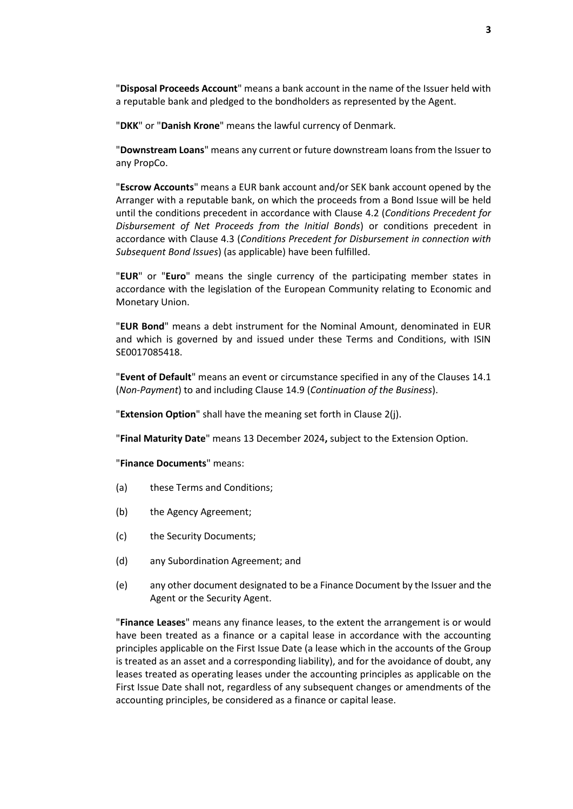"**Disposal Proceeds Account**" means a bank account in the name of the Issuer held with a reputable bank and pledged to the bondholders as represented by the Agent.

"**DKK**" or "**Danish Krone**" means the lawful currency of Denmark.

"**Downstream Loans**" means any current or future downstream loans from the Issuer to any PropCo.

"**Escrow Accounts**" means a EUR bank account and/or SEK bank account opened by the Arranger with a reputable bank, on which the proceeds from a Bond Issue will be held until the conditions precedent in accordance with Clause [4.2](#page-17-0) (*[Conditions Precedent for](#page-17-0)  [Disbursement of Net Proceeds from the Initial Bonds](#page-17-0)*) or conditions precedent in accordance with Clause [4.3](#page-18-0) (*[Conditions Precedent for Disbursement in connection with](#page-18-0)  [Subsequent Bond Issues](#page-18-0)*) (as applicable) have been fulfilled.

"**EUR**" or "**Euro**" means the single currency of the participating member states in accordance with the legislation of the European Community relating to Economic and Monetary Union.

"**EUR Bond**" means a debt instrument for the Nominal Amount, denominated in EUR and which is governed by and issued under these Terms and Conditions, with ISIN SE0017085418.

"**Event of Default**" means an event or circumstance specified in any of the Clauses [14.1](#page-31-0) (*[Non-Payment](#page-31-0)*) to and including Clause [14.9](#page-32-0) (*[Continuation of the Business](#page-32-0)*).

"**Extension Option**" shall have the meaning set forth in Claus[e 2\(j\).](#page-16-2)

"**Final Maturity Date**" means 13 December 2024**,** subject to the Extension Option.

"**Finance Documents**" means:

- (a) these Terms and Conditions;
- (b) the Agency Agreement;
- (c) the Security Documents;
- (d) any Subordination Agreement; and
- (e) any other document designated to be a Finance Document by the Issuer and the Agent or the Security Agent.

"**Finance Leases**" means any finance leases, to the extent the arrangement is or would have been treated as a finance or a capital lease in accordance with the accounting principles applicable on the First Issue Date (a lease which in the accounts of the Group is treated as an asset and a corresponding liability), and for the avoidance of doubt, any leases treated as operating leases under the accounting principles as applicable on the First Issue Date shall not, regardless of any subsequent changes or amendments of the accounting principles, be considered as a finance or capital lease.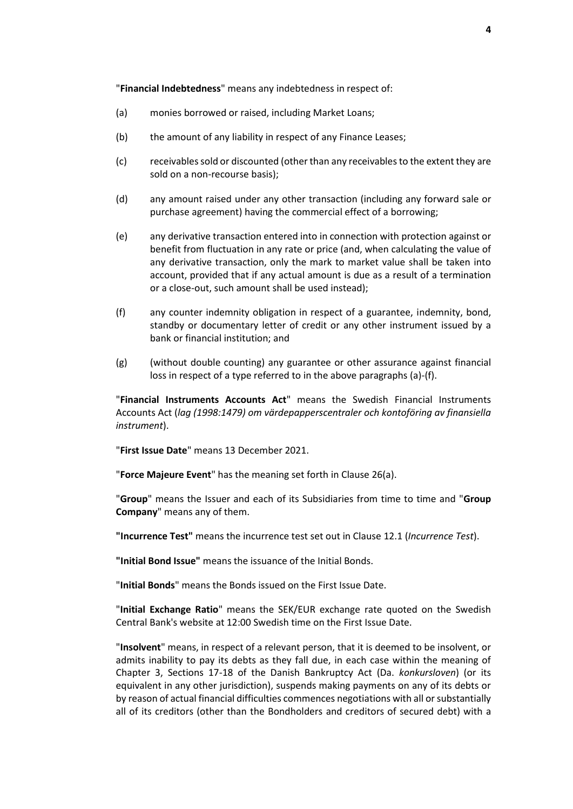"**Financial Indebtedness**" means any indebtedness in respect of:

- <span id="page-6-0"></span>(a) monies borrowed or raised, including Market Loans;
- (b) the amount of any liability in respect of any Finance Leases;
- (c) receivables sold or discounted (other than any receivables to the extent they are sold on a non-recourse basis);
- (d) any amount raised under any other transaction (including any forward sale or purchase agreement) having the commercial effect of a borrowing;
- (e) any derivative transaction entered into in connection with protection against or benefit from fluctuation in any rate or price (and, when calculating the value of any derivative transaction, only the mark to market value shall be taken into account, provided that if any actual amount is due as a result of a termination or a close-out, such amount shall be used instead);
- <span id="page-6-1"></span>(f) any counter indemnity obligation in respect of a guarantee, indemnity, bond, standby or documentary letter of credit or any other instrument issued by a bank or financial institution; and
- (g) (without double counting) any guarantee or other assurance against financial loss in respect of a type referred to in the above paragraphs [\(a\)](#page-6-0)[-\(f\).](#page-6-1)

"**Financial Instruments Accounts Act**" means the Swedish Financial Instruments Accounts Act (*lag (1998:1479) om värdepapperscentraler och kontoföring av finansiella instrument*).

"**First Issue Date**" means 13 December 2021.

"**Force Majeure Event**" has the meaning set forth in Clause [26\(a\).](#page-47-2)

"**Group**" means the Issuer and each of its Subsidiaries from time to time and "**Group Company**" means any of them.

**"Incurrence Test"** means the incurrence test set out in Claus[e 12.1](#page-28-1) (*[Incurrence Test](#page-28-1)*).

**"Initial Bond Issue"** means the issuance of the Initial Bonds.

"**Initial Bonds**" means the Bonds issued on the First Issue Date.

"**Initial Exchange Ratio**" means the SEK/EUR exchange rate quoted on the Swedish Central Bank's website at 12:00 Swedish time on the First Issue Date.

"**Insolvent**" means, in respect of a relevant person, that it is deemed to be insolvent, or admits inability to pay its debts as they fall due, in each case within the meaning of Chapter 3, Sections 17-18 of the Danish Bankruptcy Act (Da. *konkursloven*) (or its equivalent in any other jurisdiction), suspends making payments on any of its debts or by reason of actual financial difficulties commences negotiations with all or substantially all of its creditors (other than the Bondholders and creditors of secured debt) with a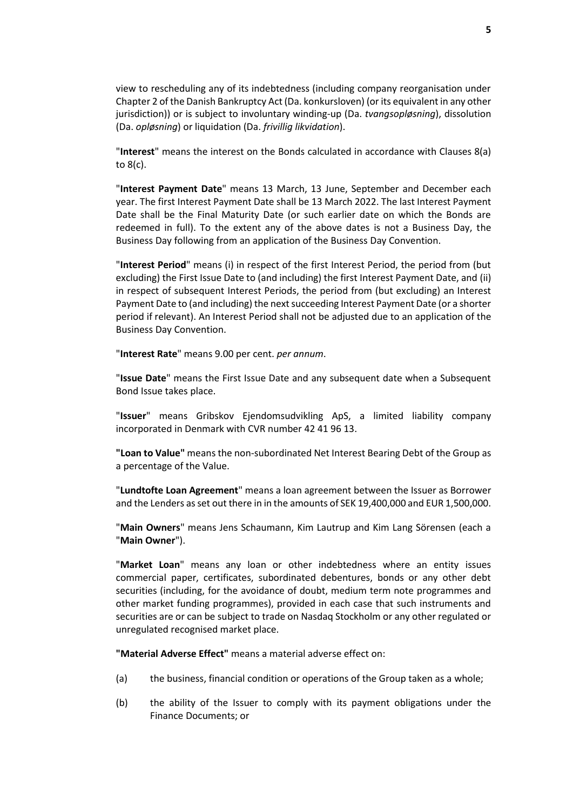view to rescheduling any of its indebtedness (including company reorganisation under Chapter 2 of the Danish Bankruptcy Act (Da. konkursloven) (or its equivalent in any other jurisdiction)) or is subject to involuntary winding-up (Da. *tvangsopløsning*), dissolution (Da. *opløsning*) or liquidation (Da. *frivillig likvidation*).

"**Interest**" means the interest on the Bonds calculated in accordance with Clauses [8\(a\)](#page-21-2) t[o 8\(c\).](#page-22-2)

"**Interest Payment Date**" means 13 March, 13 June, September and December each year. The first Interest Payment Date shall be 13 March 2022. The last Interest Payment Date shall be the Final Maturity Date (or such earlier date on which the Bonds are redeemed in full). To the extent any of the above dates is not a Business Day, the Business Day following from an application of the Business Day Convention.

"**Interest Period**" means (i) in respect of the first Interest Period, the period from (but excluding) the First Issue Date to (and including) the first Interest Payment Date, and (ii) in respect of subsequent Interest Periods, the period from (but excluding) an Interest Payment Date to (and including) the next succeeding Interest Payment Date (or a shorter period if relevant). An Interest Period shall not be adjusted due to an application of the Business Day Convention.

"**Interest Rate**" means 9.00 per cent. *per annum*.

"**Issue Date**" means the First Issue Date and any subsequent date when a Subsequent Bond Issue takes place.

"**Issuer**" means Gribskov Ejendomsudvikling ApS, a limited liability company incorporated in Denmark with CVR number 42 41 96 13.

**"Loan to Value"** means the non-subordinated Net Interest Bearing Debt of the Group as a percentage of the Value.

"**Lundtofte Loan Agreement**" means a loan agreement between the Issuer as Borrower and the Lenders as set out there in in the amounts of SEK 19,400,000 and EUR 1,500,000.

"**Main Owners**" means Jens Schaumann, Kim Lautrup and Kim Lang Sörensen (each a "**Main Owner**").

"**Market Loan**" means any loan or other indebtedness where an entity issues commercial paper, certificates, subordinated debentures, bonds or any other debt securities (including, for the avoidance of doubt, medium term note programmes and other market funding programmes), provided in each case that such instruments and securities are or can be subject to trade on Nasdaq Stockholm or any other regulated or unregulated recognised market place.

**"Material Adverse Effect"** means a material adverse effect on:

- (a) the business, financial condition or operations of the Group taken as a whole;
- (b) the ability of the Issuer to comply with its payment obligations under the Finance Documents; or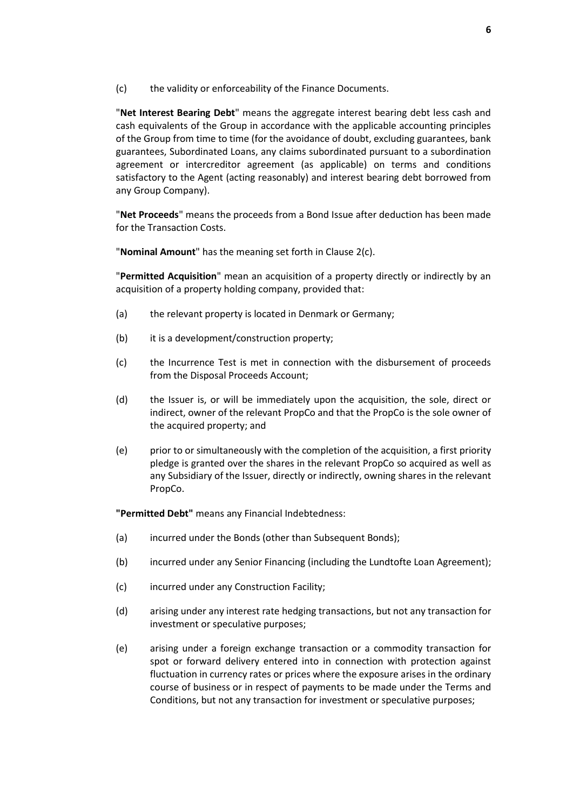(c) the validity or enforceability of the Finance Documents.

"**Net Interest Bearing Debt**" means the aggregate interest bearing debt less cash and cash equivalents of the Group in accordance with the applicable accounting principles of the Group from time to time (for the avoidance of doubt, excluding guarantees, bank guarantees, Subordinated Loans, any claims subordinated pursuant to a subordination agreement or intercreditor agreement (as applicable) on terms and conditions satisfactory to the Agent (acting reasonably) and interest bearing debt borrowed from any Group Company).

"**Net Proceeds**" means the proceeds from a Bond Issue after deduction has been made for the Transaction Costs.

"**Nominal Amount**" has the meaning set forth in Clause [2\(c\).](#page-15-0)

"**Permitted Acquisition**" mean an acquisition of a property directly or indirectly by an acquisition of a property holding company, provided that:

- (a) the relevant property is located in Denmark or Germany;
- (b) it is a development/construction property;
- (c) the Incurrence Test is met in connection with the disbursement of proceeds from the Disposal Proceeds Account;
- (d) the Issuer is, or will be immediately upon the acquisition, the sole, direct or indirect, owner of the relevant PropCo and that the PropCo is the sole owner of the acquired property; and
- (e) prior to or simultaneously with the completion of the acquisition, a first priority pledge is granted over the shares in the relevant PropCo so acquired as well as any Subsidiary of the Issuer, directly or indirectly, owning shares in the relevant PropCo.

**"Permitted Debt"** means any Financial Indebtedness:

- <span id="page-8-0"></span>(a) incurred under the Bonds (other than Subsequent Bonds);
- (b) incurred under any Senior Financing (including the Lundtofte Loan Agreement);
- (c) incurred under any Construction Facility;
- (d) arising under any interest rate hedging transactions, but not any transaction for investment or speculative purposes;
- (e) arising under a foreign exchange transaction or a commodity transaction for spot or forward delivery entered into in connection with protection against fluctuation in currency rates or prices where the exposure arises in the ordinary course of business or in respect of payments to be made under the Terms and Conditions, but not any transaction for investment or speculative purposes;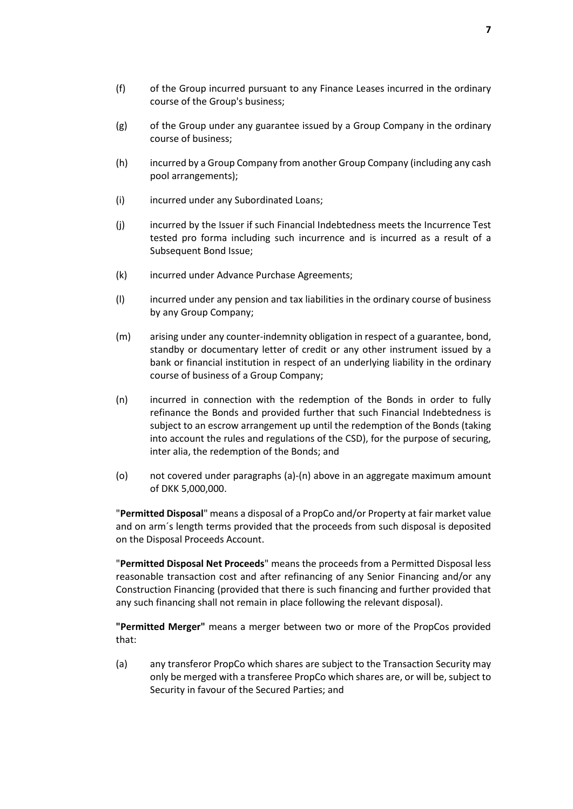- (g) of the Group under any guarantee issued by a Group Company in the ordinary course of business;
- (h) incurred by a Group Company from another Group Company (including any cash pool arrangements);
- (i) incurred under any Subordinated Loans;
- (j) incurred by the Issuer if such Financial Indebtedness meets the Incurrence Test tested pro forma including such incurrence and is incurred as a result of a Subsequent Bond Issue;
- (k) incurred under Advance Purchase Agreements;
- (l) incurred under any pension and tax liabilities in the ordinary course of business by any Group Company;
- (m) arising under any counter-indemnity obligation in respect of a guarantee, bond, standby or documentary letter of credit or any other instrument issued by a bank or financial institution in respect of an underlying liability in the ordinary course of business of a Group Company;
- (n) incurred in connection with the redemption of the Bonds in order to fully refinance the Bonds and provided further that such Financial Indebtedness is subject to an escrow arrangement up until the redemption of the Bonds (taking into account the rules and regulations of the CSD), for the purpose of securing, inter alia, the redemption of the Bonds; and
- (o) not covered under paragraphs [\(a\)-](#page-8-0)(n) above in an aggregate maximum amount of DKK 5,000,000.

"**Permitted Disposal**" means a disposal of a PropCo and/or Property at fair market value and on arm´s length terms provided that the proceeds from such disposal is deposited on the Disposal Proceeds Account.

"**Permitted Disposal Net Proceeds**" means the proceeds from a Permitted Disposal less reasonable transaction cost and after refinancing of any Senior Financing and/or any Construction Financing (provided that there is such financing and further provided that any such financing shall not remain in place following the relevant disposal).

**"Permitted Merger"** means a merger between two or more of the PropCos provided that:

(a) any transferor PropCo which shares are subject to the Transaction Security may only be merged with a transferee PropCo which shares are, or will be, subject to Security in favour of the Secured Parties; and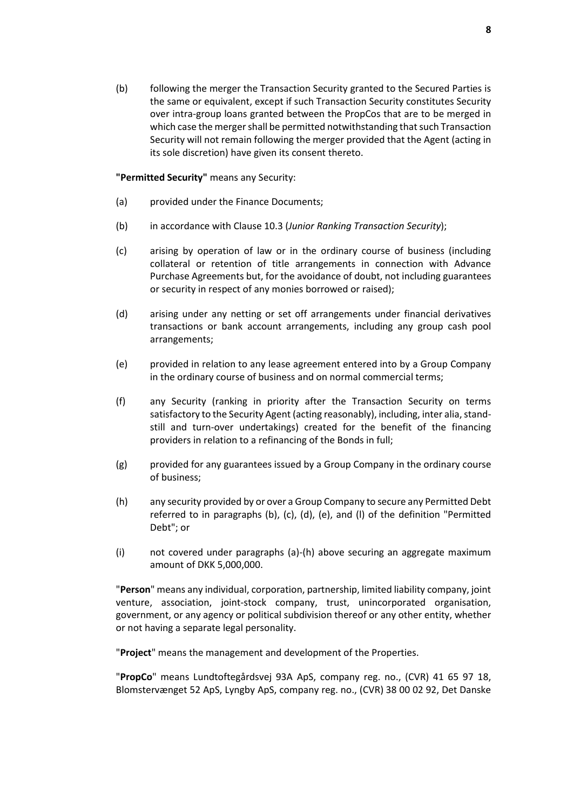(b) following the merger the Transaction Security granted to the Secured Parties is the same or equivalent, except if such Transaction Security constitutes Security over intra-group loans granted between the PropCos that are to be merged in which case the merger shall be permitted notwithstanding that such Transaction Security will not remain following the merger provided that the Agent (acting in its sole discretion) have given its consent thereto.

**"Permitted Security"** means any Security:

- <span id="page-10-0"></span>(a) provided under the Finance Documents;
- (b) in accordance with Claus[e 10.3](#page-25-0) (*[Junior Ranking Transaction Security](#page-25-0)*);
- (c) arising by operation of law or in the ordinary course of business (including collateral or retention of title arrangements in connection with Advance Purchase Agreements but, for the avoidance of doubt, not including guarantees or security in respect of any monies borrowed or raised);
- (d) arising under any netting or set off arrangements under financial derivatives transactions or bank account arrangements, including any group cash pool arrangements;
- (e) provided in relation to any lease agreement entered into by a Group Company in the ordinary course of business and on normal commercial terms;
- (f) any Security (ranking in priority after the Transaction Security on terms satisfactory to the Security Agent (acting reasonably), including, inter alia, standstill and turn-over undertakings) created for the benefit of the financing providers in relation to a refinancing of the Bonds in full;
- (g) provided for any guarantees issued by a Group Company in the ordinary course of business;
- (h) any security provided by or over a Group Company to secure any Permitted Debt referred to in paragraphs (b), (c), (d), (e), and (l) of the definition "Permitted Debt"; or
- (i) not covered under paragraphs [\(a\)-](#page-10-0)(h) above securing an aggregate maximum amount of DKK 5,000,000.

"**Person**" means any individual, corporation, partnership, limited liability company, joint venture, association, joint-stock company, trust, unincorporated organisation, government, or any agency or political subdivision thereof or any other entity, whether or not having a separate legal personality.

"**Project**" means the management and development of the Properties.

"**PropCo**" means Lundtoftegårdsvej 93A ApS, company reg. no., (CVR) 41 65 97 18, Blomstervænget 52 ApS, Lyngby ApS, company reg. no., (CVR) 38 00 02 92, Det Danske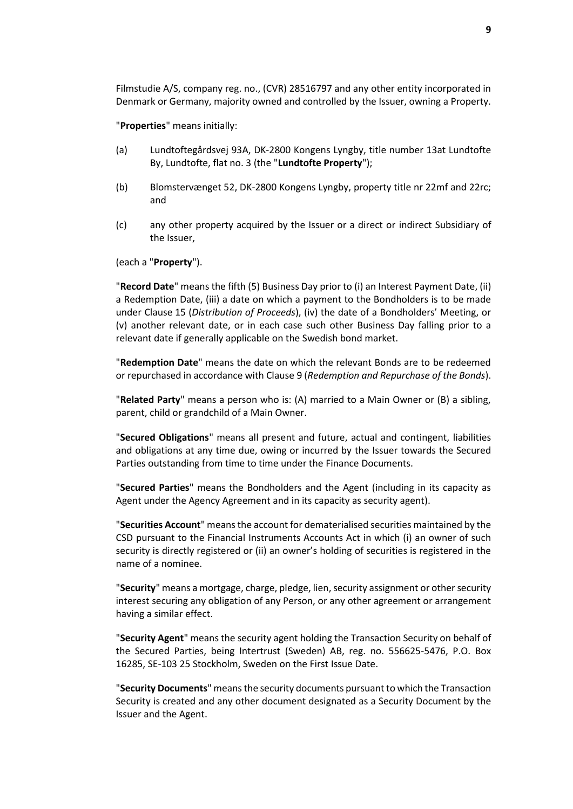Filmstudie A/S, company reg. no., (CVR) 28516797 and any other entity incorporated in Denmark or Germany, majority owned and controlled by the Issuer, owning a Property.

"**Properties**" means initially:

- (a) Lundtoftegårdsvej 93A, DK-2800 Kongens Lyngby, title number 13at Lundtofte By, Lundtofte, flat no. 3 (the "**Lundtofte Property**");
- (b) Blomstervænget 52, DK-2800 Kongens Lyngby, property title nr 22mf and 22rc; and
- (c) any other property acquired by the Issuer or a direct or indirect Subsidiary of the Issuer,

(each a "**Property**").

"**Record Date**" means the fifth (5) Business Day prior to (i) an Interest Payment Date, (ii) a Redemption Date, (iii) a date on which a payment to the Bondholders is to be made under Clause [15](#page-33-0) (*[Distribution of Proceeds](#page-33-0)*), (iv) the date of a Bondholders' Meeting, or (v) another relevant date, or in each case such other Business Day falling prior to a relevant date if generally applicable on the Swedish bond market.

"**Redemption Date**" means the date on which the relevant Bonds are to be redeemed or repurchased in accordance with Clause [9](#page-22-0) (*[Redemption and Repurchase of the Bonds](#page-22-0)*).

"**Related Party**" means a person who is: (A) married to a Main Owner or (B) a sibling, parent, child or grandchild of a Main Owner.

"**Secured Obligations**" means all present and future, actual and contingent, liabilities and obligations at any time due, owing or incurred by the Issuer towards the Secured Parties outstanding from time to time under the Finance Documents.

"**Secured Parties**" means the Bondholders and the Agent (including in its capacity as Agent under the Agency Agreement and in its capacity as security agent).

"**Securities Account**" means the account for dematerialised securities maintained by the CSD pursuant to the Financial Instruments Accounts Act in which (i) an owner of such security is directly registered or (ii) an owner's holding of securities is registered in the name of a nominee.

"**Security**" means a mortgage, charge, pledge, lien, security assignment or other security interest securing any obligation of any Person, or any other agreement or arrangement having a similar effect.

"**Security Agent**" means the security agent holding the Transaction Security on behalf of the Secured Parties, being Intertrust (Sweden) AB, reg. no. 556625-5476, P.O. Box 16285, SE-103 25 Stockholm, Sweden on the First Issue Date.

"**Security Documents**" means the security documents pursuant to which the Transaction Security is created and any other document designated as a Security Document by the Issuer and the Agent.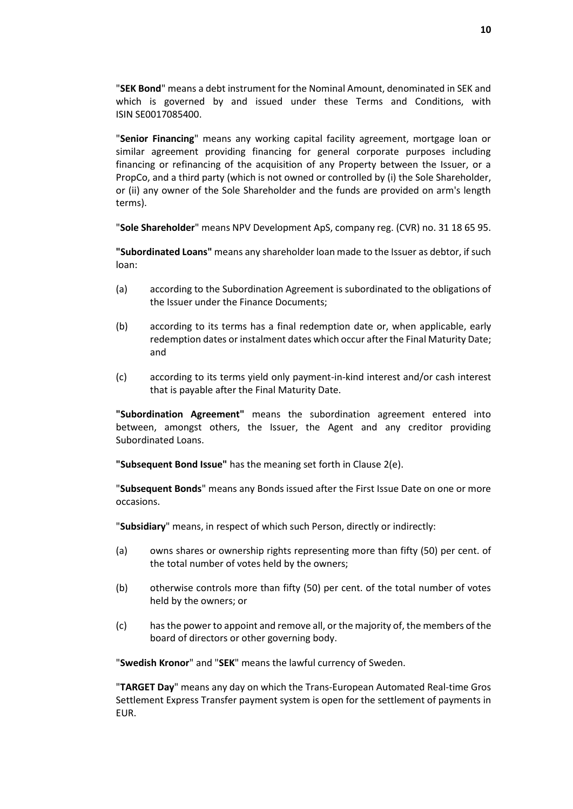"**SEK Bond**" means a debt instrument for the Nominal Amount, denominated in SEK and which is governed by and issued under these Terms and Conditions, with ISIN SE0017085400.

"**Senior Financing**" means any working capital facility agreement, mortgage loan or similar agreement providing financing for general corporate purposes including financing or refinancing of the acquisition of any Property between the Issuer, or a PropCo, and a third party (which is not owned or controlled by (i) the Sole Shareholder, or (ii) any owner of the Sole Shareholder and the funds are provided on arm's length terms).

"**Sole Shareholder**" means NPV Development ApS, company reg. (CVR) no. 31 18 65 95.

**"Subordinated Loans"** means any shareholder loan made to the Issuer as debtor, if such loan:

- (a) according to the Subordination Agreement is subordinated to the obligations of the Issuer under the Finance Documents;
- (b) according to its terms has a final redemption date or, when applicable, early redemption dates or instalment dates which occur after the Final Maturity Date; and
- (c) according to its terms yield only payment-in-kind interest and/or cash interest that is payable after the Final Maturity Date.

**"Subordination Agreement"** means the subordination agreement entered into between, amongst others, the Issuer, the Agent and any creditor providing Subordinated Loans.

**"Subsequent Bond Issue"** has the meaning set forth in Claus[e 2\(e\).](#page-15-1)

"**Subsequent Bonds**" means any Bonds issued after the First Issue Date on one or more occasions.

"**Subsidiary**" means, in respect of which such Person, directly or indirectly:

- (a) owns shares or ownership rights representing more than fifty (50) per cent. of the total number of votes held by the owners;
- (b) otherwise controls more than fifty (50) per cent. of the total number of votes held by the owners; or
- (c) has the power to appoint and remove all, or the majority of, the members of the board of directors or other governing body.

"**Swedish Kronor**" and "**SEK**" means the lawful currency of Sweden.

"**TARGET Day**" means any day on which the Trans-European Automated Real-time Gros Settlement Express Transfer payment system is open for the settlement of payments in EUR.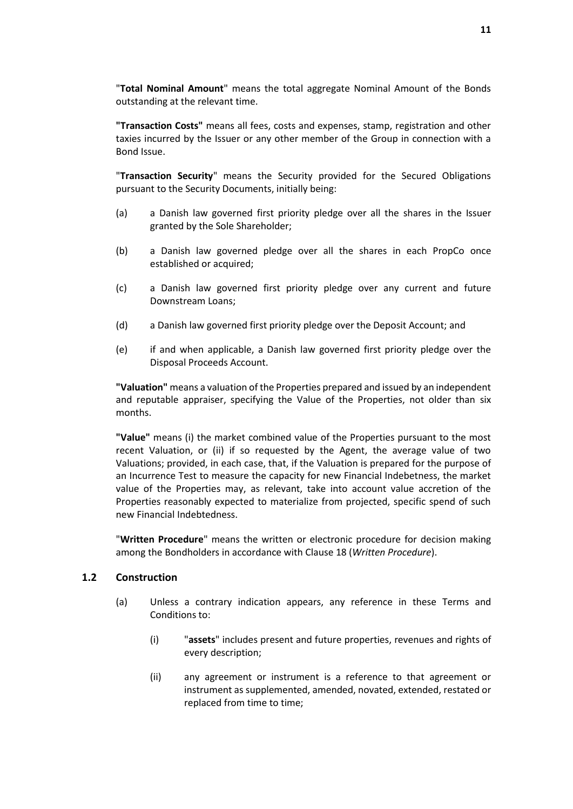"**Total Nominal Amount**" means the total aggregate Nominal Amount of the Bonds outstanding at the relevant time.

**"Transaction Costs"** means all fees, costs and expenses, stamp, registration and other taxies incurred by the Issuer or any other member of the Group in connection with a Bond Issue.

"**Transaction Security**" means the Security provided for the Secured Obligations pursuant to the Security Documents, initially being:

- (a) a Danish law governed first priority pledge over all the shares in the Issuer granted by the Sole Shareholder;
- (b) a Danish law governed pledge over all the shares in each PropCo once established or acquired;
- (c) a Danish law governed first priority pledge over any current and future Downstream Loans;
- (d) a Danish law governed first priority pledge over the Deposit Account; and
- (e) if and when applicable, a Danish law governed first priority pledge over the Disposal Proceeds Account.

**"Valuation"** means a valuation of the Properties prepared and issued by an independent and reputable appraiser, specifying the Value of the Properties, not older than six months.

**"Value"** means (i) the market combined value of the Properties pursuant to the most recent Valuation, or (ii) if so requested by the Agent, the average value of two Valuations; provided, in each case, that, if the Valuation is prepared for the purpose of an Incurrence Test to measure the capacity for new Financial Indebetness, the market value of the Properties may, as relevant, take into account value accretion of the Properties reasonably expected to materialize from projected, specific spend of such new Financial Indebtedness.

"**Written Procedure**" means the written or electronic procedure for decision making among the Bondholders in accordance with Clause [18](#page-38-0) (*[Written Procedure](#page-38-0)*).

#### **1.2 Construction**

- (a) Unless a contrary indication appears, any reference in these Terms and Conditions to:
	- (i) "**assets**" includes present and future properties, revenues and rights of every description;
	- (ii) any agreement or instrument is a reference to that agreement or instrument as supplemented, amended, novated, extended, restated or replaced from time to time;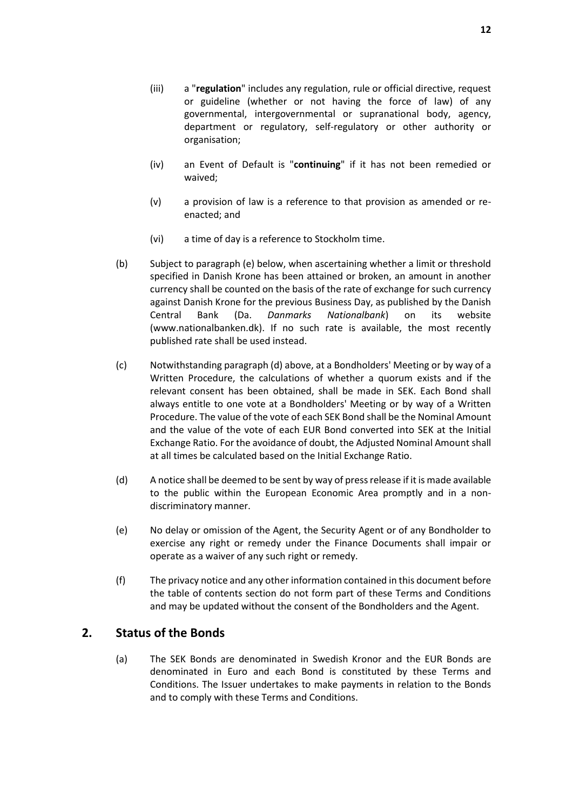- (iii) a "**regulation**" includes any regulation, rule or official directive, request or guideline (whether or not having the force of law) of any governmental, intergovernmental or supranational body, agency, department or regulatory, self-regulatory or other authority or organisation;
- (iv) an Event of Default is "**continuing**" if it has not been remedied or waived;
- (v) a provision of law is a reference to that provision as amended or reenacted; and
- (vi) a time of day is a reference to Stockholm time.
- (b) Subject to paragraph (e) below, when ascertaining whether a limit or threshold specified in Danish Krone has been attained or broken, an amount in another currency shall be counted on the basis of the rate of exchange for such currency against Danish Krone for the previous Business Day, as published by the Danish Central Bank (Da. *Danmarks Nationalbank*) on its website (www.nationalbanken.dk). If no such rate is available, the most recently published rate shall be used instead.
- (c) Notwithstanding paragraph (d) above, at a Bondholders' Meeting or by way of a Written Procedure, the calculations of whether a quorum exists and if the relevant consent has been obtained, shall be made in SEK. Each Bond shall always entitle to one vote at a Bondholders' Meeting or by way of a Written Procedure. The value of the vote of each SEK Bond shall be the Nominal Amount and the value of the vote of each EUR Bond converted into SEK at the Initial Exchange Ratio. For the avoidance of doubt, the Adjusted Nominal Amount shall at all times be calculated based on the Initial Exchange Ratio.
- (d) A notice shall be deemed to be sent by way of press release if it is made available to the public within the European Economic Area promptly and in a nondiscriminatory manner.
- (e) No delay or omission of the Agent, the Security Agent or of any Bondholder to exercise any right or remedy under the Finance Documents shall impair or operate as a waiver of any such right or remedy.
- (f) The privacy notice and any other information contained in this document before the table of contents section do not form part of these Terms and Conditions and may be updated without the consent of the Bondholders and the Agent.

# <span id="page-14-1"></span><span id="page-14-0"></span>**2. Status of the Bonds**

(a) The SEK Bonds are denominated in Swedish Kronor and the EUR Bonds are denominated in Euro and each Bond is constituted by these Terms and Conditions. The Issuer undertakes to make payments in relation to the Bonds and to comply with these Terms and Conditions.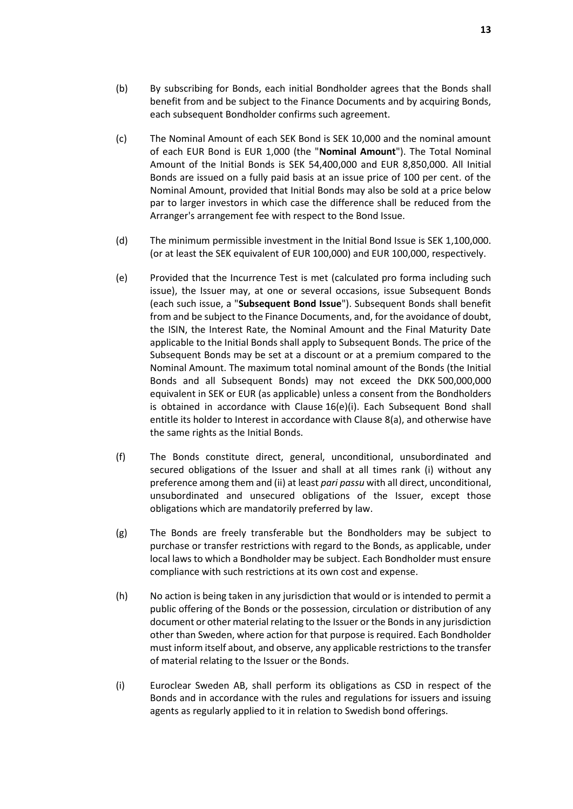- (b) By subscribing for Bonds, each initial Bondholder agrees that the Bonds shall benefit from and be subject to the Finance Documents and by acquiring Bonds, each subsequent Bondholder confirms such agreement.
- <span id="page-15-0"></span>(c) The Nominal Amount of each SEK Bond is SEK 10,000 and the nominal amount of each EUR Bond is EUR 1,000 (the "**Nominal Amount**"). The Total Nominal Amount of the Initial Bonds is SEK 54,400,000 and EUR 8,850,000. All Initial Bonds are issued on a fully paid basis at an issue price of 100 per cent. of the Nominal Amount, provided that Initial Bonds may also be sold at a price below par to larger investors in which case the difference shall be reduced from the Arranger's arrangement fee with respect to the Bond Issue.
- (d) The minimum permissible investment in the Initial Bond Issue is SEK 1,100,000. (or at least the SEK equivalent of EUR 100,000) and EUR 100,000, respectively.
- <span id="page-15-1"></span>(e) Provided that the Incurrence Test is met (calculated pro forma including such issue), the Issuer may, at one or several occasions, issue Subsequent Bonds (each such issue, a "**Subsequent Bond Issue**"). Subsequent Bonds shall benefit from and be subject to the Finance Documents, and, for the avoidance of doubt, the ISIN, the Interest Rate, the Nominal Amount and the Final Maturity Date applicable to the Initial Bonds shall apply to Subsequent Bonds. The price of the Subsequent Bonds may be set at a discount or at a premium compared to the Nominal Amount. The maximum total nominal amount of the Bonds (the Initial Bonds and all Subsequent Bonds) may not exceed the DKK 500,000,000 equivalent in SEK or EUR (as applicable) unless a consent from the Bondholders is obtained in accordance with Clause [16\(e\)\(i\).](#page-35-0) Each Subsequent Bond shall entitle its holder to Interest in accordance with Clause [8\(a\),](#page-21-2) and otherwise have the same rights as the Initial Bonds.
- <span id="page-15-2"></span>(f) The Bonds constitute direct, general, unconditional, unsubordinated and secured obligations of the Issuer and shall at all times rank (i) without any preference among them and (ii) at least *pari passu* with all direct, unconditional, unsubordinated and unsecured obligations of the Issuer, except those obligations which are mandatorily preferred by law.
- (g) The Bonds are freely transferable but the Bondholders may be subject to purchase or transfer restrictions with regard to the Bonds, as applicable, under local laws to which a Bondholder may be subject. Each Bondholder must ensure compliance with such restrictions at its own cost and expense.
- <span id="page-15-3"></span>(h) No action is being taken in any jurisdiction that would or is intended to permit a public offering of the Bonds or the possession, circulation or distribution of any document or other material relating to the Issuer or the Bonds in any jurisdiction other than Sweden, where action for that purpose is required. Each Bondholder must inform itself about, and observe, any applicable restrictions to the transfer of material relating to the Issuer or the Bonds.
- (i) Euroclear Sweden AB, shall perform its obligations as CSD in respect of the Bonds and in accordance with the rules and regulations for issuers and issuing agents as regularly applied to it in relation to Swedish bond offerings.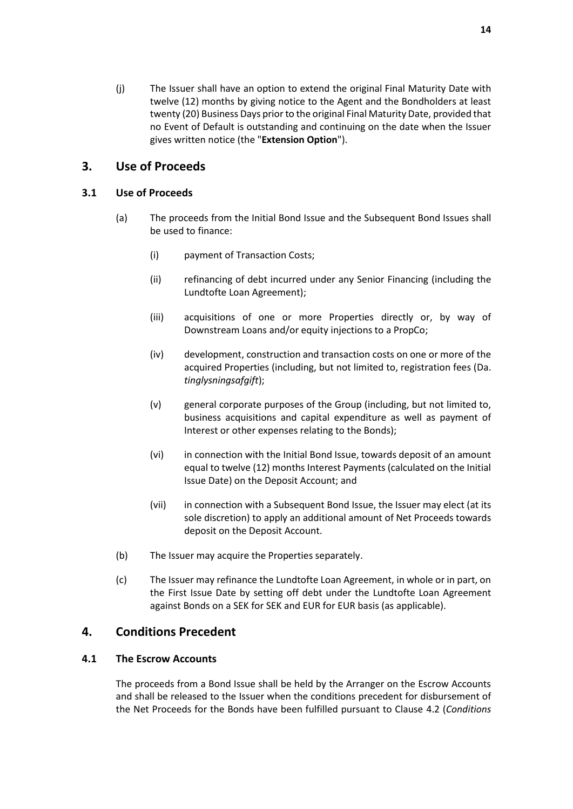<span id="page-16-2"></span>(j) The Issuer shall have an option to extend the original Final Maturity Date with twelve (12) months by giving notice to the Agent and the Bondholders at least twenty (20) Business Days prior to the original Final Maturity Date, provided that no Event of Default is outstanding and continuing on the date when the Issuer gives written notice (the "**Extension Option**").

# <span id="page-16-0"></span>**3. Use of Proceeds**

### <span id="page-16-3"></span>**3.1 Use of Proceeds**

- (a) The proceeds from the Initial Bond Issue and the Subsequent Bond Issues shall be used to finance:
	- (i) payment of Transaction Costs;
	- (ii) refinancing of debt incurred under any Senior Financing (including the Lundtofte Loan Agreement);
	- (iii) acquisitions of one or more Properties directly or, by way of Downstream Loans and/or equity injections to a PropCo;
	- (iv) development, construction and transaction costs on one or more of the acquired Properties (including, but not limited to, registration fees (Da. *tinglysningsafgift*);
	- (v) general corporate purposes of the Group (including, but not limited to, business acquisitions and capital expenditure as well as payment of Interest or other expenses relating to the Bonds);
	- (vi) in connection with the Initial Bond Issue, towards deposit of an amount equal to twelve (12) months Interest Payments (calculated on the Initial Issue Date) on the Deposit Account; and
	- (vii) in connection with a Subsequent Bond Issue, the Issuer may elect (at its sole discretion) to apply an additional amount of Net Proceeds towards deposit on the Deposit Account.
- (b) The Issuer may acquire the Properties separately.
- (c) The Issuer may refinance the Lundtofte Loan Agreement, in whole or in part, on the First Issue Date by setting off debt under the Lundtofte Loan Agreement against Bonds on a SEK for SEK and EUR for EUR basis (as applicable).

# <span id="page-16-1"></span>**4. Conditions Precedent**

### **4.1 The Escrow Accounts**

The proceeds from a Bond Issue shall be held by the Arranger on the Escrow Accounts and shall be released to the Issuer when the conditions precedent for disbursement of the Net Proceeds for the Bonds have been fulfilled pursuant to Clause [4.2](#page-17-0) (*[Conditions](#page-17-0)*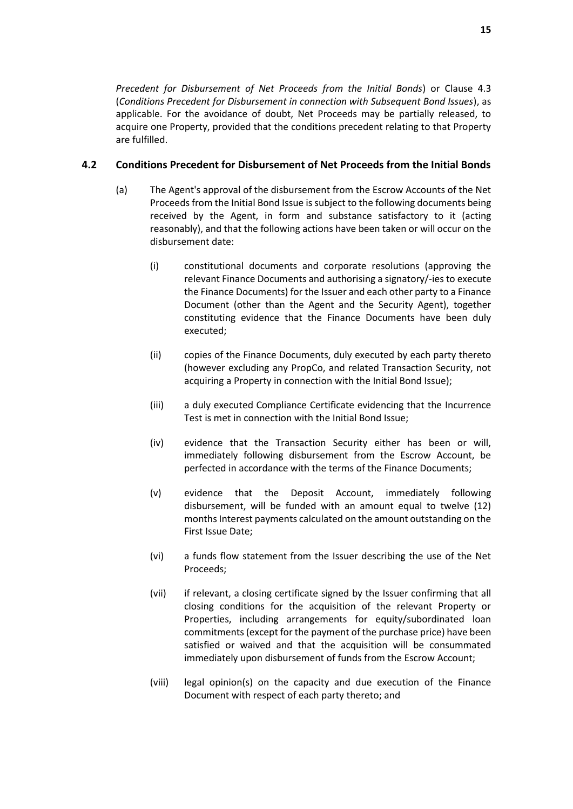*[Precedent for Disbursement of Net Proceeds from the Initial Bonds](#page-17-0)*) or Clause [4.3](#page-18-0) (*[Conditions Precedent for Disbursement in connection with Subsequent Bond Issues](#page-18-0)*), as applicable. For the avoidance of doubt, Net Proceeds may be partially released, to acquire one Property, provided that the conditions precedent relating to that Property are fulfilled.

# <span id="page-17-0"></span>**4.2 Conditions Precedent for Disbursement of Net Proceeds from the Initial Bonds**

- (a) The Agent's approval of the disbursement from the Escrow Accounts of the Net Proceeds from the Initial Bond Issue is subject to the following documents being received by the Agent, in form and substance satisfactory to it (acting reasonably), and that the following actions have been taken or will occur on the disbursement date:
	- (i) constitutional documents and corporate resolutions (approving the relevant Finance Documents and authorising a signatory/-ies to execute the Finance Documents) for the Issuer and each other party to a Finance Document (other than the Agent and the Security Agent), together constituting evidence that the Finance Documents have been duly executed;
	- (ii) copies of the Finance Documents, duly executed by each party thereto (however excluding any PropCo, and related Transaction Security, not acquiring a Property in connection with the Initial Bond Issue);
	- (iii) a duly executed Compliance Certificate evidencing that the Incurrence Test is met in connection with the Initial Bond Issue;
	- (iv) evidence that the Transaction Security either has been or will, immediately following disbursement from the Escrow Account, be perfected in accordance with the terms of the Finance Documents;
	- (v) evidence that the Deposit Account, immediately following disbursement, will be funded with an amount equal to twelve (12) months Interest payments calculated on the amount outstanding on the First Issue Date;
	- (vi) a funds flow statement from the Issuer describing the use of the Net Proceeds;
	- (vii) if relevant, a closing certificate signed by the Issuer confirming that all closing conditions for the acquisition of the relevant Property or Properties, including arrangements for equity/subordinated loan commitments(except for the payment of the purchase price) have been satisfied or waived and that the acquisition will be consummated immediately upon disbursement of funds from the Escrow Account;
	- (viii) legal opinion(s) on the capacity and due execution of the Finance Document with respect of each party thereto; and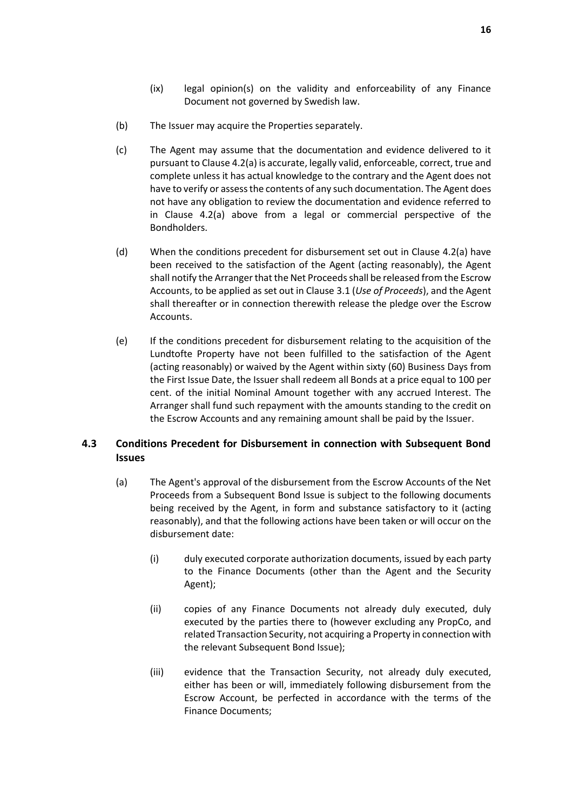- (ix) legal opinion(s) on the validity and enforceability of any Finance Document not governed by Swedish law.
- (b) The Issuer may acquire the Properties separately.
- (c) The Agent may assume that the documentation and evidence delivered to it pursuant to Claus[e 4.2\(](#page-17-0)a) is accurate, legally valid, enforceable, correct, true and complete unless it has actual knowledge to the contrary and the Agent does not have to verify or assess the contents of any such documentation. The Agent does not have any obligation to review the documentation and evidence referred to in Clause [4.2\(](#page-17-0)a) above from a legal or commercial perspective of the Bondholders.
- (d) When the conditions precedent for disbursement set out in Clause [4.2\(](#page-17-0)a) have been received to the satisfaction of the Agent (acting reasonably), the Agent shall notify the Arranger that the Net Proceeds shall be released from the Escrow Accounts, to be applied as set out in Clause [3.1](#page-16-3) (*[Use of Proceeds](#page-16-0)*), and the Agent shall thereafter or in connection therewith release the pledge over the Escrow Accounts.
- (e) If the conditions precedent for disbursement relating to the acquisition of the Lundtofte Property have not been fulfilled to the satisfaction of the Agent (acting reasonably) or waived by the Agent within sixty (60) Business Days from the First Issue Date, the Issuer shall redeem all Bonds at a price equal to 100 per cent. of the initial Nominal Amount together with any accrued Interest. The Arranger shall fund such repayment with the amounts standing to the credit on the Escrow Accounts and any remaining amount shall be paid by the Issuer.

### <span id="page-18-0"></span>**4.3 Conditions Precedent for Disbursement in connection with Subsequent Bond Issues**

- (a) The Agent's approval of the disbursement from the Escrow Accounts of the Net Proceeds from a Subsequent Bond Issue is subject to the following documents being received by the Agent, in form and substance satisfactory to it (acting reasonably), and that the following actions have been taken or will occur on the disbursement date:
	- (i) duly executed corporate authorization documents, issued by each party to the Finance Documents (other than the Agent and the Security Agent);
	- (ii) copies of any Finance Documents not already duly executed, duly executed by the parties there to (however excluding any PropCo, and related Transaction Security, not acquiring a Property in connection with the relevant Subsequent Bond Issue);
	- (iii) evidence that the Transaction Security, not already duly executed, either has been or will, immediately following disbursement from the Escrow Account, be perfected in accordance with the terms of the Finance Documents;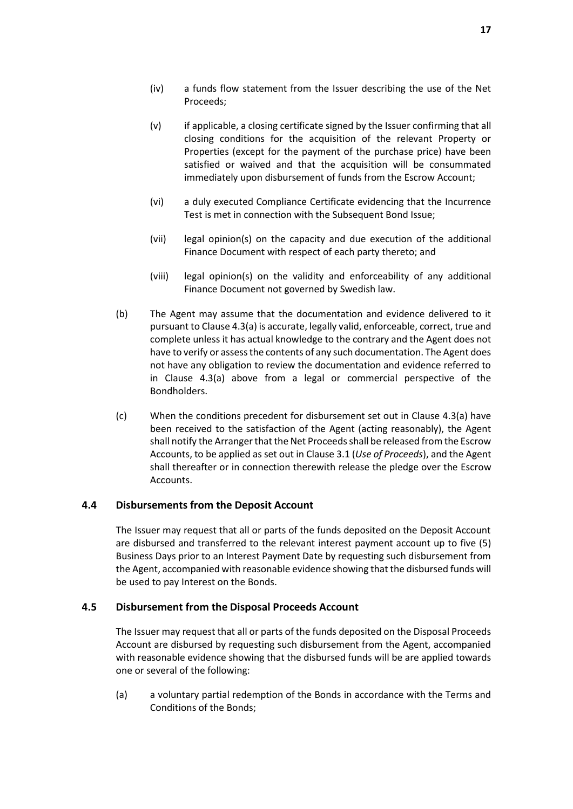- (iv) a funds flow statement from the Issuer describing the use of the Net Proceeds;
- (v) if applicable, a closing certificate signed by the Issuer confirming that all closing conditions for the acquisition of the relevant Property or Properties (except for the payment of the purchase price) have been satisfied or waived and that the acquisition will be consummated immediately upon disbursement of funds from the Escrow Account;
- (vi) a duly executed Compliance Certificate evidencing that the Incurrence Test is met in connection with the Subsequent Bond Issue;
- (vii) legal opinion(s) on the capacity and due execution of the additional Finance Document with respect of each party thereto; and
- (viii) legal opinion(s) on the validity and enforceability of any additional Finance Document not governed by Swedish law.
- (b) The Agent may assume that the documentation and evidence delivered to it pursuant to Clause 4.3(a) is accurate, legally valid, enforceable, correct, true and complete unless it has actual knowledge to the contrary and the Agent does not have to verify or assess the contents of any such documentation. The Agent does not have any obligation to review the documentation and evidence referred to in Clause 4.3(a) above from a legal or commercial perspective of the Bondholders.
- (c) When the conditions precedent for disbursement set out in Clause 4.3(a) have been received to the satisfaction of the Agent (acting reasonably), the Agent shall notify the Arranger that the Net Proceeds shall be released from the Escrow Accounts, to be applied as set out in Claus[e 3.1](#page-16-3) (*Use of Proceeds*), and the Agent shall thereafter or in connection therewith release the pledge over the Escrow Accounts.

### **4.4 Disbursements from the Deposit Account**

The Issuer may request that all or parts of the funds deposited on the Deposit Account are disbursed and transferred to the relevant interest payment account up to five (5) Business Days prior to an Interest Payment Date by requesting such disbursement from the Agent, accompanied with reasonable evidence showing that the disbursed funds will be used to pay Interest on the Bonds.

#### **4.5 Disbursement from the Disposal Proceeds Account**

The Issuer may request that all or parts of the funds deposited on the Disposal Proceeds Account are disbursed by requesting such disbursement from the Agent, accompanied with reasonable evidence showing that the disbursed funds will be are applied towards one or several of the following:

(a) a voluntary partial redemption of the Bonds in accordance with the Terms and Conditions of the Bonds;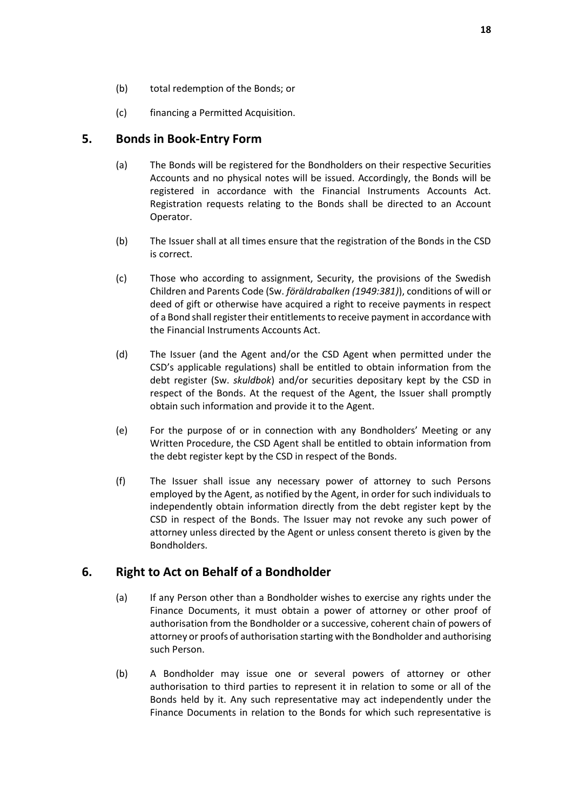- (b) total redemption of the Bonds; or
- (c) financing a Permitted Acquisition.

# <span id="page-20-0"></span>**5. Bonds in Book-Entry Form**

- (a) The Bonds will be registered for the Bondholders on their respective Securities Accounts and no physical notes will be issued. Accordingly, the Bonds will be registered in accordance with the Financial Instruments Accounts Act. Registration requests relating to the Bonds shall be directed to an Account Operator.
- (b) The Issuer shall at all times ensure that the registration of the Bonds in the CSD is correct.
- (c) Those who according to assignment, Security, the provisions of the Swedish Children and Parents Code (Sw. *föräldrabalken (1949:381)*), conditions of will or deed of gift or otherwise have acquired a right to receive payments in respect of a Bond shall register their entitlements to receive payment in accordance with the Financial Instruments Accounts Act.
- (d) The Issuer (and the Agent and/or the CSD Agent when permitted under the CSD's applicable regulations) shall be entitled to obtain information from the debt register (Sw. *skuldbok*) and/or securities depositary kept by the CSD in respect of the Bonds. At the request of the Agent, the Issuer shall promptly obtain such information and provide it to the Agent.
- (e) For the purpose of or in connection with any Bondholders' Meeting or any Written Procedure, the CSD Agent shall be entitled to obtain information from the debt register kept by the CSD in respect of the Bonds.
- (f) The Issuer shall issue any necessary power of attorney to such Persons employed by the Agent, as notified by the Agent, in order for such individuals to independently obtain information directly from the debt register kept by the CSD in respect of the Bonds. The Issuer may not revoke any such power of attorney unless directed by the Agent or unless consent thereto is given by the Bondholders.

# <span id="page-20-1"></span>**6. Right to Act on Behalf of a Bondholder**

- (a) If any Person other than a Bondholder wishes to exercise any rights under the Finance Documents, it must obtain a power of attorney or other proof of authorisation from the Bondholder or a successive, coherent chain of powers of attorney or proofs of authorisation starting with the Bondholder and authorising such Person.
- <span id="page-20-2"></span>(b) A Bondholder may issue one or several powers of attorney or other authorisation to third parties to represent it in relation to some or all of the Bonds held by it. Any such representative may act independently under the Finance Documents in relation to the Bonds for which such representative is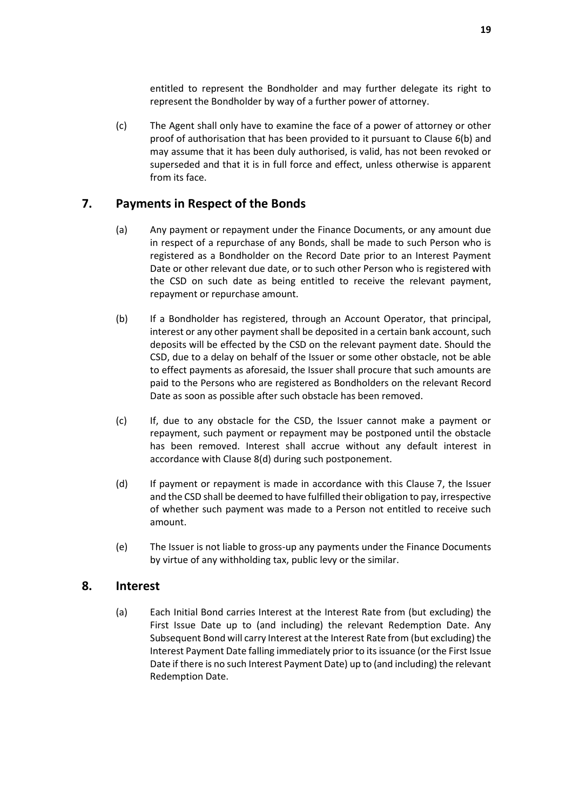entitled to represent the Bondholder and may further delegate its right to represent the Bondholder by way of a further power of attorney.

(c) The Agent shall only have to examine the face of a power of attorney or other proof of authorisation that has been provided to it pursuant to Clause [6\(b\)](#page-20-2) and may assume that it has been duly authorised, is valid, has not been revoked or superseded and that it is in full force and effect, unless otherwise is apparent from its face.

# <span id="page-21-3"></span><span id="page-21-0"></span>**7. Payments in Respect of the Bonds**

- (a) Any payment or repayment under the Finance Documents, or any amount due in respect of a repurchase of any Bonds, shall be made to such Person who is registered as a Bondholder on the Record Date prior to an Interest Payment Date or other relevant due date, or to such other Person who is registered with the CSD on such date as being entitled to receive the relevant payment, repayment or repurchase amount.
- (b) If a Bondholder has registered, through an Account Operator, that principal, interest or any other payment shall be deposited in a certain bank account, such deposits will be effected by the CSD on the relevant payment date. Should the CSD, due to a delay on behalf of the Issuer or some other obstacle, not be able to effect payments as aforesaid, the Issuer shall procure that such amounts are paid to the Persons who are registered as Bondholders on the relevant Record Date as soon as possible after such obstacle has been removed.
- (c) If, due to any obstacle for the CSD, the Issuer cannot make a payment or repayment, such payment or repayment may be postponed until the obstacle has been removed. Interest shall accrue without any default interest in accordance with Clause [8\(d\)](#page-22-3) during such postponement.
- (d) If payment or repayment is made in accordance with this Clause [7,](#page-21-0) the Issuer and the CSD shall be deemed to have fulfilled their obligation to pay, irrespective of whether such payment was made to a Person not entitled to receive such amount.
- (e) The Issuer is not liable to gross-up any payments under the Finance Documents by virtue of any withholding tax, public levy or the similar.

### <span id="page-21-2"></span><span id="page-21-1"></span>**8. Interest**

(a) Each Initial Bond carries Interest at the Interest Rate from (but excluding) the First Issue Date up to (and including) the relevant Redemption Date. Any Subsequent Bond will carry Interest at the Interest Rate from (but excluding) the Interest Payment Date falling immediately prior to its issuance (or the First Issue Date if there is no such Interest Payment Date) up to (and including) the relevant Redemption Date.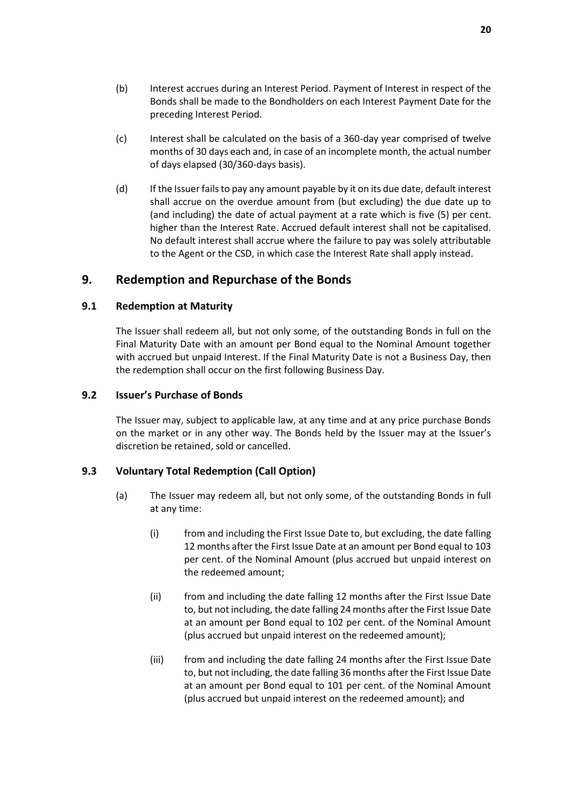- (b) Interest accrues during an Interest Period. Payment of Interest in respect of the Bonds shall be made to the Bondholders on each Interest Payment Date for the preceding Interest Period.
- <span id="page-22-2"></span>(c) Interest shall be calculated on the basis of a 360-day year comprised of twelve months of 30 days each and, in case of an incomplete month, the actual number of days elapsed (30/360-days basis).
- <span id="page-22-3"></span>(d) If the Issuer fails to pay any amount payable by it on its due date, default interest shall accrue on the overdue amount from (but excluding) the due date up to (and including) the date of actual payment at a rate which is five (5) per cent. higher than the Interest Rate. Accrued default interest shall not be capitalised. No default interest shall accrue where the failure to pay was solely attributable to the Agent or the CSD, in which case the Interest Rate shall apply instead.

# <span id="page-22-0"></span>**9. Redemption and Repurchase of the Bonds**

### **9.1 Redemption at Maturity**

The Issuer shall redeem all, but not only some, of the outstanding Bonds in full on the Final Maturity Date with an amount per Bond equal to the Nominal Amount together with accrued but unpaid Interest. If the Final Maturity Date is not a Business Day, then the redemption shall occur on the first following Business Day.

### **9.2 Issuer's Purchase of Bonds**

The Issuer may, subject to applicable law, at any time and at any price purchase Bonds on the market or in any other way. The Bonds held by the Issuer may at the Issuer's discretion be retained, sold or cancelled.

# <span id="page-22-4"></span><span id="page-22-1"></span>**9.3 Voluntary Total Redemption (Call Option)**

- <span id="page-22-5"></span>(a) The Issuer may redeem all, but not only some, of the outstanding Bonds in full at any time:
	- (i) from and including the First Issue Date to, but excluding, the date falling 12 months after the First Issue Date at an amount per Bond equal to 103 per cent. of the Nominal Amount (plus accrued but unpaid interest on the redeemed amount;
	- (ii) from and including the date falling 12 months after the First Issue Date to, but not including, the date falling 24 months after the First Issue Date at an amount per Bond equal to 102 per cent. of the Nominal Amount (plus accrued but unpaid interest on the redeemed amount);
	- (iii) from and including the date falling 24 months after the First Issue Date to, but not including, the date falling 36 months after the First Issue Date at an amount per Bond equal to 101 per cent. of the Nominal Amount (plus accrued but unpaid interest on the redeemed amount); and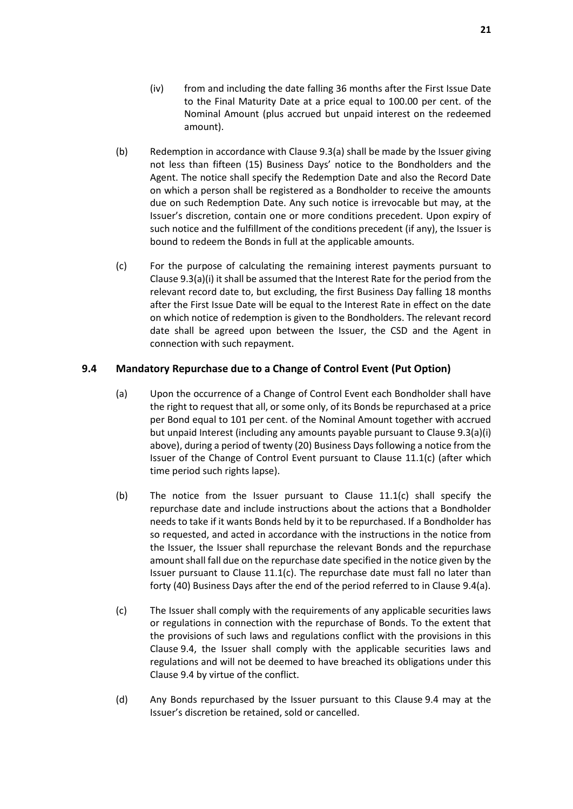- (iv) from and including the date falling 36 months after the First Issue Date to the Final Maturity Date at a price equal to 100.00 per cent. of the Nominal Amount (plus accrued but unpaid interest on the redeemed amount).
- (b) Redemption in accordance with Clause [9.3\(a\)](#page-22-4) shall be made by the Issuer giving not less than fifteen (15) Business Days' notice to the Bondholders and the Agent. The notice shall specify the Redemption Date and also the Record Date on which a person shall be registered as a Bondholder to receive the amounts due on such Redemption Date. Any such notice is irrevocable but may, at the Issuer's discretion, contain one or more conditions precedent. Upon expiry of such notice and the fulfillment of the conditions precedent (if any), the Issuer is bound to redeem the Bonds in full at the applicable amounts.
- (c) For the purpose of calculating the remaining interest payments pursuant to Claus[e 9.3\(a\)\(i\)](#page-22-5) it shall be assumed that the Interest Rate for the period from the relevant record date to, but excluding, the first Business Day falling 18 months after the First Issue Date will be equal to the Interest Rate in effect on the date on which notice of redemption is given to the Bondholders. The relevant record date shall be agreed upon between the Issuer, the CSD and the Agent in connection with such repayment.

### <span id="page-23-1"></span><span id="page-23-0"></span>**9.4 Mandatory Repurchase due to a Change of Control Event (Put Option)**

- (a) Upon the occurrence of a Change of Control Event each Bondholder shall have the right to request that all, or some only, of its Bonds be repurchased at a price per Bond equal to 101 per cent. of the Nominal Amount together with accrued but unpaid Interest (including any amounts payable pursuant to Clause 9.3(a)(i) above), during a period of twenty (20) Business Days following a notice from the Issuer of the Change of Control Event pursuant to Clause [11.1\(c\)](#page-26-1) (after which time period such rights lapse).
- (b) The notice from the Issuer pursuant to Clause  $11.1(c)$  shall specify the repurchase date and include instructions about the actions that a Bondholder needs to take if it wants Bonds held by it to be repurchased. If a Bondholder has so requested, and acted in accordance with the instructions in the notice from the Issuer, the Issuer shall repurchase the relevant Bonds and the repurchase amount shall fall due on the repurchase date specified in the notice given by the Issuer pursuant to Clause [11.1\(c\).](#page-26-1) The repurchase date must fall no later than forty (40) Business Days after the end of the period referred to in Clause [9.4\(a\).](#page-23-0)
- (c) The Issuer shall comply with the requirements of any applicable securities laws or regulations in connection with the repurchase of Bonds. To the extent that the provisions of such laws and regulations conflict with the provisions in this Clause [9.4,](#page-23-1) the Issuer shall comply with the applicable securities laws and regulations and will not be deemed to have breached its obligations under this Clause [9.4](#page-23-1) by virtue of the conflict.
- (d) Any Bonds repurchased by the Issuer pursuant to this Clause [9.4](#page-23-1) may at the Issuer's discretion be retained, sold or cancelled.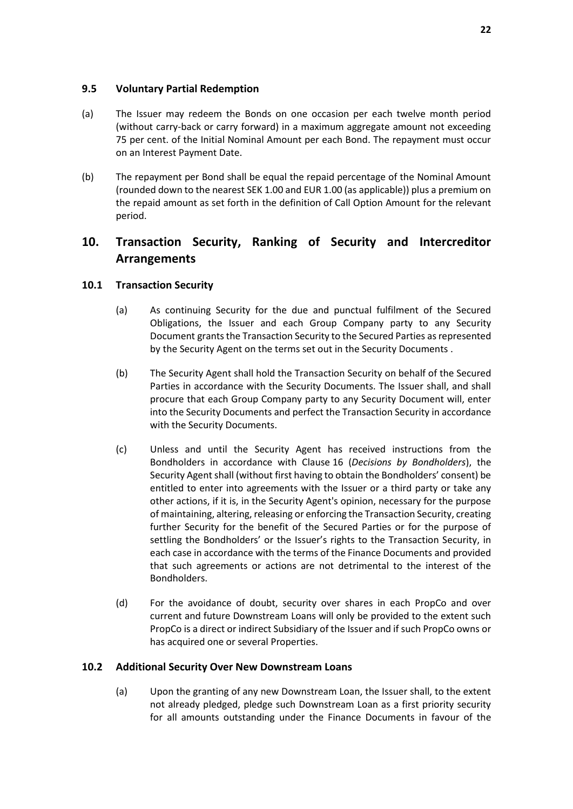#### **9.5 Voluntary Partial Redemption**

- (a) The Issuer may redeem the Bonds on one occasion per each twelve month period (without carry-back or carry forward) in a maximum aggregate amount not exceeding 75 per cent. of the Initial Nominal Amount per each Bond. The repayment must occur on an Interest Payment Date.
- (b) The repayment per Bond shall be equal the repaid percentage of the Nominal Amount (rounded down to the nearest SEK 1.00 and EUR 1.00 (as applicable)) plus a premium on the repaid amount as set forth in the definition of Call Option Amount for the relevant period.

# <span id="page-24-0"></span>**10. Transaction Security, Ranking of Security and Intercreditor Arrangements**

### **10.1 Transaction Security**

- (a) As continuing Security for the due and punctual fulfilment of the Secured Obligations, the Issuer and each Group Company party to any Security Document grants the Transaction Security to the Secured Parties as represented by the Security Agent on the terms set out in the Security Documents .
- (b) The Security Agent shall hold the Transaction Security on behalf of the Secured Parties in accordance with the Security Documents. The Issuer shall, and shall procure that each Group Company party to any Security Document will, enter into the Security Documents and perfect the Transaction Security in accordance with the Security Documents.
- (c) Unless and until the Security Agent has received instructions from the Bondholders in accordance with Clause [16](#page-34-0) (*[Decisions by Bondholders](#page-34-0)*), the Security Agent shall (without first having to obtain the Bondholders' consent) be entitled to enter into agreements with the Issuer or a third party or take any other actions, if it is, in the Security Agent's opinion, necessary for the purpose of maintaining, altering, releasing or enforcing the Transaction Security, creating further Security for the benefit of the Secured Parties or for the purpose of settling the Bondholders' or the Issuer's rights to the Transaction Security, in each case in accordance with the terms of the Finance Documents and provided that such agreements or actions are not detrimental to the interest of the Bondholders.
- (d) For the avoidance of doubt, security over shares in each PropCo and over current and future Downstream Loans will only be provided to the extent such PropCo is a direct or indirect Subsidiary of the Issuer and if such PropCo owns or has acquired one or several Properties.

#### **10.2 Additional Security Over New Downstream Loans**

(a) Upon the granting of any new Downstream Loan, the Issuer shall, to the extent not already pledged, pledge such Downstream Loan as a first priority security for all amounts outstanding under the Finance Documents in favour of the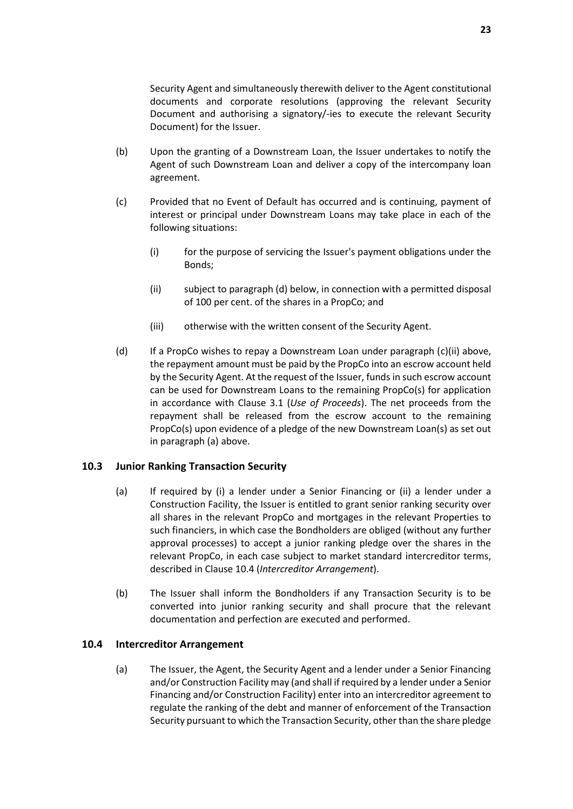Security Agent and simultaneously therewith deliver to the Agent constitutional documents and corporate resolutions (approving the relevant Security Document and authorising a signatory/-ies to execute the relevant Security Document) for the Issuer.

- (b) Upon the granting of a Downstream Loan, the Issuer undertakes to notify the Agent of such Downstream Loan and deliver a copy of the intercompany loan agreement.
- (c) Provided that no Event of Default has occurred and is continuing, payment of interest or principal under Downstream Loans may take place in each of the following situations:
	- (i) for the purpose of servicing the Issuer's payment obligations under the Bonds;
	- (ii) subject to paragraph (d) below, in connection with a permitted disposal of 100 per cent. of the shares in a PropCo; and
	- (iii) otherwise with the written consent of the Security Agent.
- (d) If a PropCo wishes to repay a Downstream Loan under paragraph (c)(ii) above, the repayment amount must be paid by the PropCo into an escrow account held by the Security Agent. At the request of the Issuer, funds in such escrow account can be used for Downstream Loans to the remaining PropCo(s) for application in accordance with Clause [3.1](#page-16-3) (*Use of Proceeds*). The net proceeds from the repayment shall be released from the escrow account to the remaining PropCo(s) upon evidence of a pledge of the new Downstream Loan(s) as set out in paragraph (a) above.

### <span id="page-25-0"></span>**10.3 Junior Ranking Transaction Security**

- (a) If required by (i) a lender under a Senior Financing or (ii) a lender under a Construction Facility, the Issuer is entitled to grant senior ranking security over all shares in the relevant PropCo and mortgages in the relevant Properties to such financiers, in which case the Bondholders are obliged (without any further approval processes) to accept a junior ranking pledge over the shares in the relevant PropCo, in each case subject to market standard intercreditor terms, described in Clause 10.4 (*Intercreditor Arrangement*).
- (b) The Issuer shall inform the Bondholders if any Transaction Security is to be converted into junior ranking security and shall procure that the relevant documentation and perfection are executed and performed.

#### **10.4 Intercreditor Arrangement**

(a) The Issuer, the Agent, the Security Agent and a lender under a Senior Financing and/or Construction Facility may (and shall if required by a lender under a Senior Financing and/or Construction Facility) enter into an intercreditor agreement to regulate the ranking of the debt and manner of enforcement of the Transaction Security pursuant to which the Transaction Security, other than the share pledge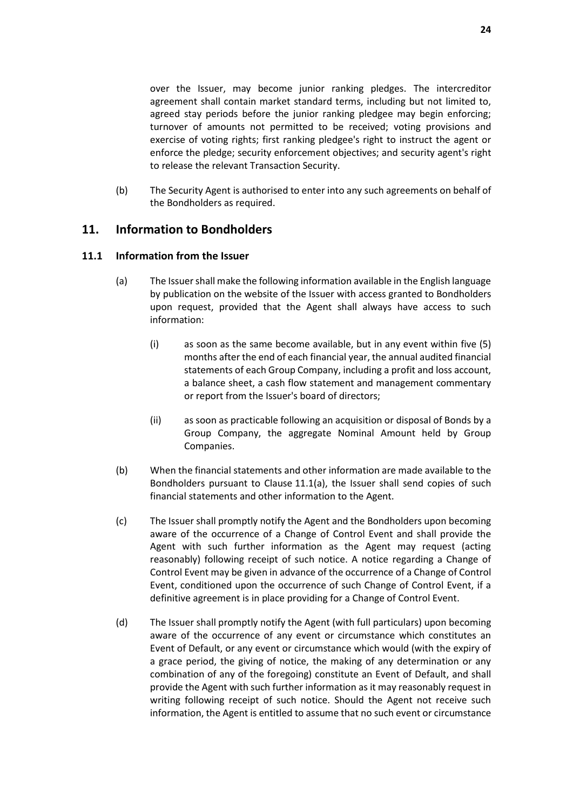over the Issuer, may become junior ranking pledges. The intercreditor agreement shall contain market standard terms, including but not limited to, agreed stay periods before the junior ranking pledgee may begin enforcing; turnover of amounts not permitted to be received; voting provisions and exercise of voting rights; first ranking pledgee's right to instruct the agent or enforce the pledge; security enforcement objectives; and security agent's right to release the relevant Transaction Security.

(b) The Security Agent is authorised to enter into any such agreements on behalf of the Bondholders as required.

### <span id="page-26-0"></span>**11. Information to Bondholders**

#### <span id="page-26-3"></span><span id="page-26-2"></span>**11.1 Information from the Issuer**

- (a) The Issuer shall make the following information available in the English language by publication on the website of the Issuer with access granted to Bondholders upon request, provided that the Agent shall always have access to such information:
	- (i) as soon as the same become available, but in any event within five (5) months after the end of each financial year, the annual audited financial statements of each Group Company, including a profit and loss account, a balance sheet, a cash flow statement and management commentary or report from the Issuer's board of directors;
	- (ii) as soon as practicable following an acquisition or disposal of Bonds by a Group Company, the aggregate Nominal Amount held by Group Companies.
- (b) When the financial statements and other information are made available to the Bondholders pursuant to Clause [11.1\(a\),](#page-26-2) the Issuer shall send copies of such financial statements and other information to the Agent.
- <span id="page-26-1"></span>(c) The Issuer shall promptly notify the Agent and the Bondholders upon becoming aware of the occurrence of a Change of Control Event and shall provide the Agent with such further information as the Agent may request (acting reasonably) following receipt of such notice. A notice regarding a Change of Control Event may be given in advance of the occurrence of a Change of Control Event, conditioned upon the occurrence of such Change of Control Event, if a definitive agreement is in place providing for a Change of Control Event.
- (d) The Issuer shall promptly notify the Agent (with full particulars) upon becoming aware of the occurrence of any event or circumstance which constitutes an Event of Default, or any event or circumstance which would (with the expiry of a grace period, the giving of notice, the making of any determination or any combination of any of the foregoing) constitute an Event of Default, and shall provide the Agent with such further information as it may reasonably request in writing following receipt of such notice. Should the Agent not receive such information, the Agent is entitled to assume that no such event or circumstance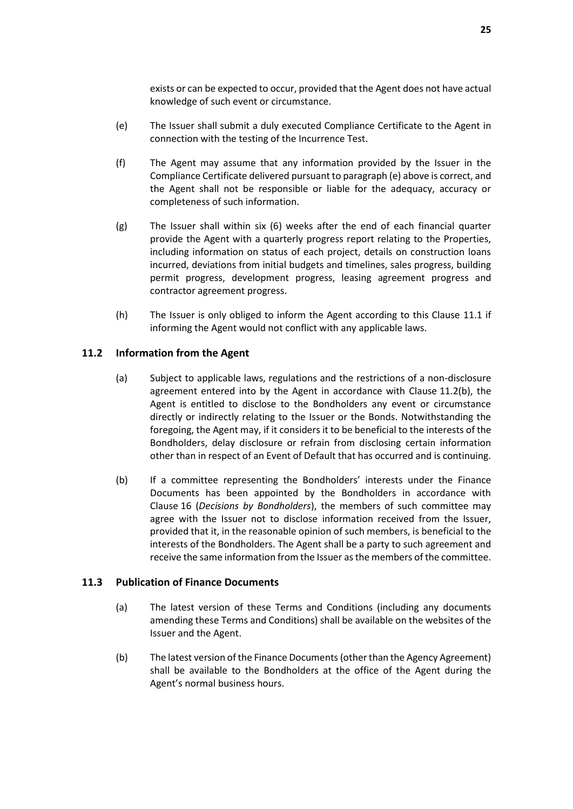exists or can be expected to occur, provided that the Agent does not have actual knowledge of such event or circumstance.

- <span id="page-27-0"></span>(e) The Issuer shall submit a duly executed Compliance Certificate to the Agent in connection with the testing of the Incurrence Test.
- (f) The Agent may assume that any information provided by the Issuer in the Compliance Certificate delivered pursuant to paragrap[h \(e\)](#page-27-0) above is correct, and the Agent shall not be responsible or liable for the adequacy, accuracy or completeness of such information.
- (g) The Issuer shall within six (6) weeks after the end of each financial quarter provide the Agent with a quarterly progress report relating to the Properties, including information on status of each project, details on construction loans incurred, deviations from initial budgets and timelines, sales progress, building permit progress, development progress, leasing agreement progress and contractor agreement progress.
- (h) The Issuer is only obliged to inform the Agent according to this Clause [11.1](#page-26-3) if informing the Agent would not conflict with any applicable laws.

### **11.2 Information from the Agent**

- (a) Subject to applicable laws, regulations and the restrictions of a non-disclosure agreement entered into by the Agent in accordance with Clause [11.2\(b\),](#page-27-1) the Agent is entitled to disclose to the Bondholders any event or circumstance directly or indirectly relating to the Issuer or the Bonds. Notwithstanding the foregoing, the Agent may, if it considers it to be beneficial to the interests of the Bondholders, delay disclosure or refrain from disclosing certain information other than in respect of an Event of Default that has occurred and is continuing.
- <span id="page-27-1"></span>(b) If a committee representing the Bondholders' interests under the Finance Documents has been appointed by the Bondholders in accordance with Clause [16](#page-34-0) (*[Decisions by Bondholders](#page-34-0)*), the members of such committee may agree with the Issuer not to disclose information received from the Issuer, provided that it, in the reasonable opinion of such members, is beneficial to the interests of the Bondholders. The Agent shall be a party to such agreement and receive the same information from the Issuer as the members of the committee.

#### <span id="page-27-2"></span>**11.3 Publication of Finance Documents**

- (a) The latest version of these Terms and Conditions (including any documents amending these Terms and Conditions) shall be available on the websites of the Issuer and the Agent.
- (b) The latest version of the Finance Documents(other than the Agency Agreement) shall be available to the Bondholders at the office of the Agent during the Agent's normal business hours.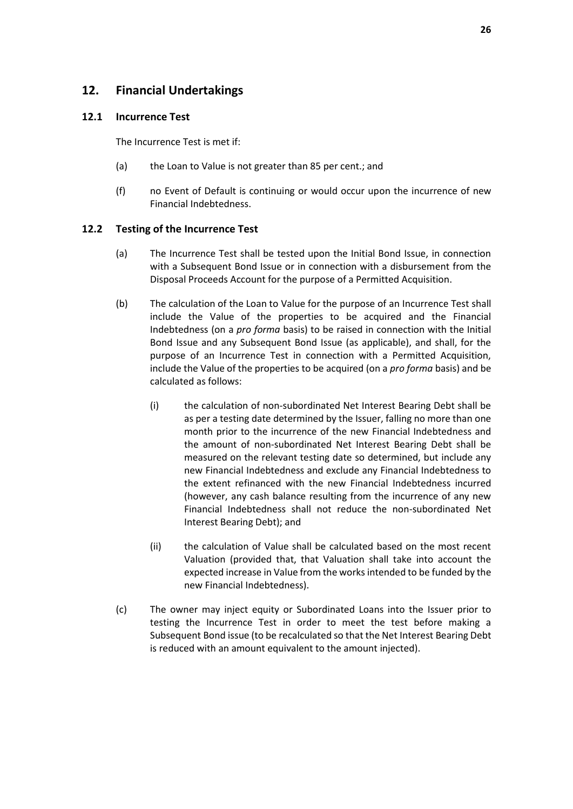# <span id="page-28-0"></span>**12. Financial Undertakings**

#### <span id="page-28-1"></span>**12.1 Incurrence Test**

The Incurrence Test is met if:

- (a) the Loan to Value is not greater than 85 per cent.; and
- (f) no Event of Default is continuing or would occur upon the incurrence of new Financial Indebtedness.

### **12.2 Testing of the Incurrence Test**

- (a) The Incurrence Test shall be tested upon the Initial Bond Issue, in connection with a Subsequent Bond Issue or in connection with a disbursement from the Disposal Proceeds Account for the purpose of a Permitted Acquisition.
- (b) The calculation of the Loan to Value for the purpose of an Incurrence Test shall include the Value of the properties to be acquired and the Financial Indebtedness (on a *pro forma* basis) to be raised in connection with the Initial Bond Issue and any Subsequent Bond Issue (as applicable), and shall, for the purpose of an Incurrence Test in connection with a Permitted Acquisition, include the Value of the properties to be acquired (on a *pro forma* basis) and be calculated as follows:
	- (i) the calculation of non-subordinated Net Interest Bearing Debt shall be as per a testing date determined by the Issuer, falling no more than one month prior to the incurrence of the new Financial Indebtedness and the amount of non-subordinated Net Interest Bearing Debt shall be measured on the relevant testing date so determined, but include any new Financial Indebtedness and exclude any Financial Indebtedness to the extent refinanced with the new Financial Indebtedness incurred (however, any cash balance resulting from the incurrence of any new Financial Indebtedness shall not reduce the non-subordinated Net Interest Bearing Debt); and
	- (ii) the calculation of Value shall be calculated based on the most recent Valuation (provided that, that Valuation shall take into account the expected increase in Value from the works intended to be funded by the new Financial Indebtedness).
- (c) The owner may inject equity or Subordinated Loans into the Issuer prior to testing the Incurrence Test in order to meet the test before making a Subsequent Bond issue (to be recalculated so that the Net Interest Bearing Debt is reduced with an amount equivalent to the amount injected).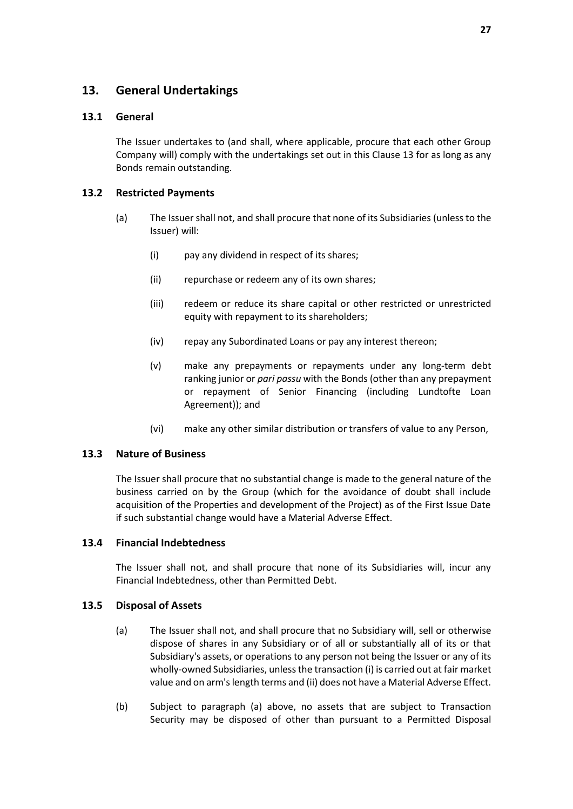# <span id="page-29-0"></span>**13. General Undertakings**

### **13.1 General**

The Issuer undertakes to (and shall, where applicable, procure that each other Group Company will) comply with the undertakings set out in this Clause [13](#page-29-0) for as long as any Bonds remain outstanding.

### **13.2 Restricted Payments**

- (a) The Issuer shall not, and shall procure that none of its Subsidiaries (unless to the Issuer) will:
	- (i) pay any dividend in respect of its shares;
	- (ii) repurchase or redeem any of its own shares;
	- (iii) redeem or reduce its share capital or other restricted or unrestricted equity with repayment to its shareholders;
	- (iv) repay any Subordinated Loans or pay any interest thereon;
	- (v) make any prepayments or repayments under any long-term debt ranking junior or *pari passu* with the Bonds (other than any prepayment or repayment of Senior Financing (including Lundtofte Loan Agreement)); and
	- (vi) make any other similar distribution or transfers of value to any Person,

### **13.3 Nature of Business**

The Issuer shall procure that no substantial change is made to the general nature of the business carried on by the Group (which for the avoidance of doubt shall include acquisition of the Properties and development of the Project) as of the First Issue Date if such substantial change would have a Material Adverse Effect.

#### **13.4 Financial Indebtedness**

The Issuer shall not, and shall procure that none of its Subsidiaries will, incur any Financial Indebtedness, other than Permitted Debt.

#### **13.5 Disposal of Assets**

- (a) The Issuer shall not, and shall procure that no Subsidiary will, sell or otherwise dispose of shares in any Subsidiary or of all or substantially all of its or that Subsidiary's assets, or operations to any person not being the Issuer or any of its wholly-owned Subsidiaries, unless the transaction (i) is carried out at fair market value and on arm's length terms and (ii) does not have a Material Adverse Effect.
- (b) Subject to paragraph (a) above, no assets that are subject to Transaction Security may be disposed of other than pursuant to a Permitted Disposal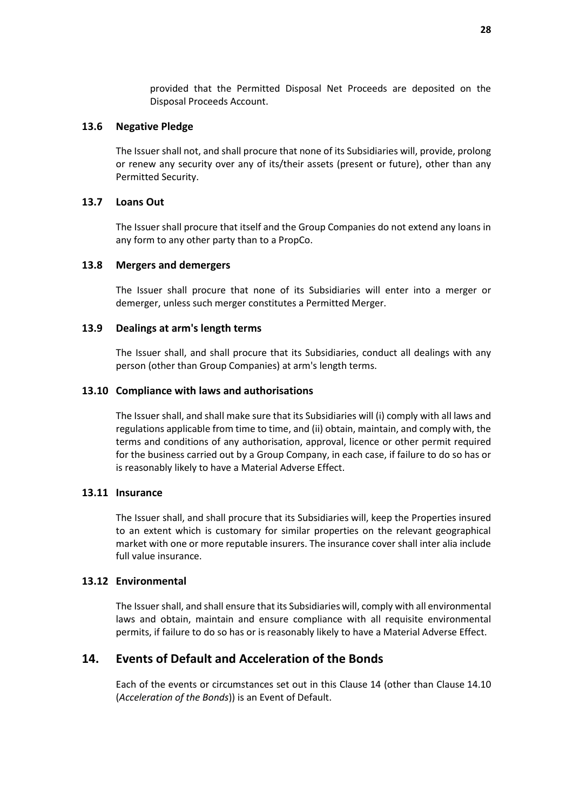provided that the Permitted Disposal Net Proceeds are deposited on the Disposal Proceeds Account.

#### **13.6 Negative Pledge**

The Issuer shall not, and shall procure that none of its Subsidiaries will, provide, prolong or renew any security over any of its/their assets (present or future), other than any Permitted Security.

#### **13.7 Loans Out**

The Issuer shall procure that itself and the Group Companies do not extend any loans in any form to any other party than to a PropCo.

#### **13.8 Mergers and demergers**

The Issuer shall procure that none of its Subsidiaries will enter into a merger or demerger, unless such merger constitutes a Permitted Merger.

#### **13.9 Dealings at arm's length terms**

The Issuer shall, and shall procure that its Subsidiaries, conduct all dealings with any person (other than Group Companies) at arm's length terms.

#### **13.10 Compliance with laws and authorisations**

The Issuer shall, and shall make sure that its Subsidiaries will (i) comply with all laws and regulations applicable from time to time, and (ii) obtain, maintain, and comply with, the terms and conditions of any authorisation, approval, licence or other permit required for the business carried out by a Group Company, in each case, if failure to do so has or is reasonably likely to have a Material Adverse Effect.

#### **13.11 Insurance**

The Issuer shall, and shall procure that its Subsidiaries will, keep the Properties insured to an extent which is customary for similar properties on the relevant geographical market with one or more reputable insurers. The insurance cover shall inter alia include full value insurance.

#### **13.12 Environmental**

The Issuer shall, and shall ensure that its Subsidiaries will, comply with all environmental laws and obtain, maintain and ensure compliance with all requisite environmental permits, if failure to do so has or is reasonably likely to have a Material Adverse Effect.

## <span id="page-30-0"></span>**14. Events of Default and Acceleration of the Bonds**

Each of the events or circumstances set out in this Clause [14](#page-30-0) (other than Clause [14.10](#page-32-1) (*[Acceleration of the Bonds](#page-32-1)*)) is an Event of Default.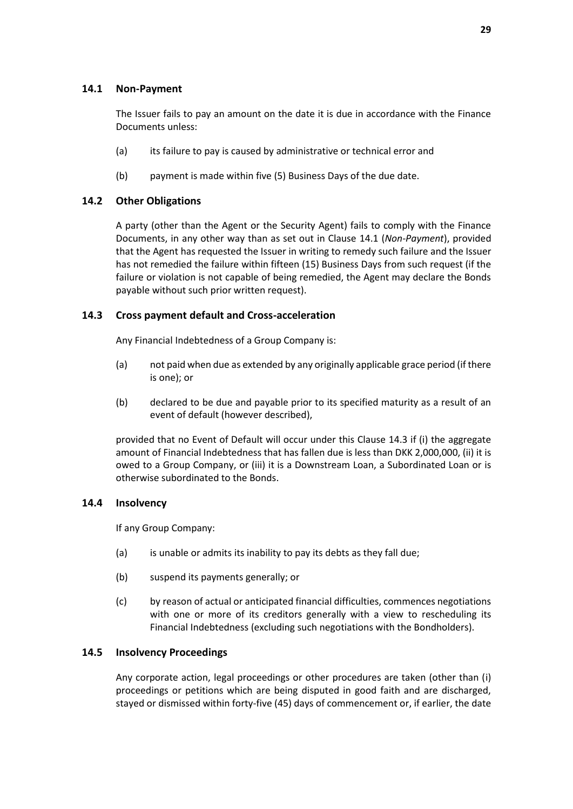#### <span id="page-31-0"></span>**14.1 Non-Payment**

The Issuer fails to pay an amount on the date it is due in accordance with the Finance Documents unless:

- (a) its failure to pay is caused by administrative or technical error and
- (b) payment is made within five (5) Business Days of the due date.

### **14.2 Other Obligations**

A party (other than the Agent or the Security Agent) fails to comply with the Finance Documents, in any other way than as set out in Clause [14.1](#page-31-0) (*[Non-Payment](#page-31-0)*), provided that the Agent has requested the Issuer in writing to remedy such failure and the Issuer has not remedied the failure within fifteen (15) Business Days from such request (if the failure or violation is not capable of being remedied, the Agent may declare the Bonds payable without such prior written request).

#### <span id="page-31-1"></span>**14.3 Cross payment default and Cross-acceleration**

Any Financial Indebtedness of a Group Company is:

- (a) not paid when due as extended by any originally applicable grace period (if there is one); or
- (b) declared to be due and payable prior to its specified maturity as a result of an event of default (however described),

provided that no Event of Default will occur under this Clause [14.3](#page-31-1) if (i) the aggregate amount of Financial Indebtedness that has fallen due is less than DKK 2,000,000, (ii) it is owed to a Group Company, or (iii) it is a Downstream Loan, a Subordinated Loan or is otherwise subordinated to the Bonds.

#### **14.4 Insolvency**

If any Group Company:

- (a) is unable or admits its inability to pay its debts as they fall due;
- (b) suspend its payments generally; or
- (c) by reason of actual or anticipated financial difficulties, commences negotiations with one or more of its creditors generally with a view to rescheduling its Financial Indebtedness (excluding such negotiations with the Bondholders).

#### **14.5 Insolvency Proceedings**

Any corporate action, legal proceedings or other procedures are taken (other than (i) proceedings or petitions which are being disputed in good faith and are discharged, stayed or dismissed within forty-five (45) days of commencement or, if earlier, the date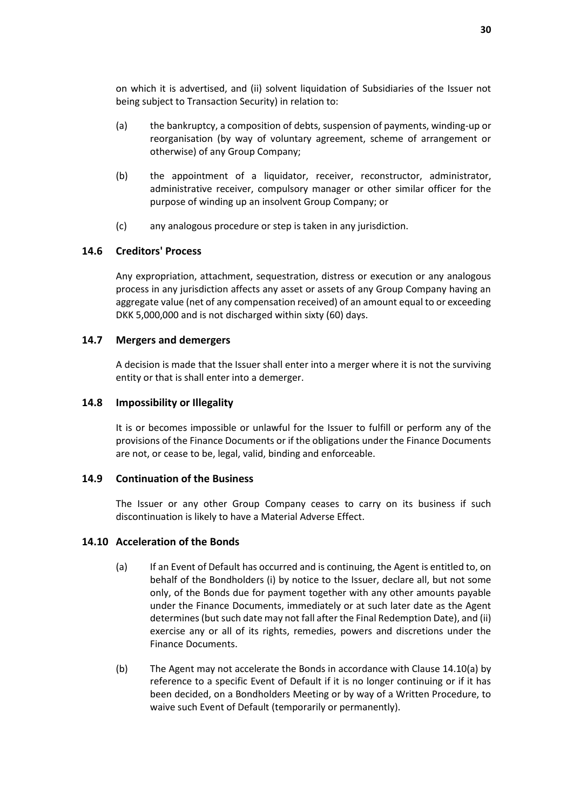on which it is advertised, and (ii) solvent liquidation of Subsidiaries of the Issuer not being subject to Transaction Security) in relation to:

- (a) the bankruptcy, a composition of debts, suspension of payments, winding-up or reorganisation (by way of voluntary agreement, scheme of arrangement or otherwise) of any Group Company;
- (b) the appointment of a liquidator, receiver, reconstructor, administrator, administrative receiver, compulsory manager or other similar officer for the purpose of winding up an insolvent Group Company; or
- (c) any analogous procedure or step is taken in any jurisdiction.

#### **14.6 Creditors' Process**

Any expropriation, attachment, sequestration, distress or execution or any analogous process in any jurisdiction affects any asset or assets of any Group Company having an aggregate value (net of any compensation received) of an amount equal to or exceeding DKK 5,000,000 and is not discharged within sixty (60) days.

#### **14.7 Mergers and demergers**

A decision is made that the Issuer shall enter into a merger where it is not the surviving entity or that is shall enter into a demerger.

#### **14.8 Impossibility or Illegality**

It is or becomes impossible or unlawful for the Issuer to fulfill or perform any of the provisions of the Finance Documents or if the obligations under the Finance Documents are not, or cease to be, legal, valid, binding and enforceable.

### <span id="page-32-0"></span>**14.9 Continuation of the Business**

The Issuer or any other Group Company ceases to carry on its business if such discontinuation is likely to have a Material Adverse Effect.

#### <span id="page-32-2"></span><span id="page-32-1"></span>**14.10 Acceleration of the Bonds**

- (a) If an Event of Default has occurred and is continuing, the Agent is entitled to, on behalf of the Bondholders (i) by notice to the Issuer, declare all, but not some only, of the Bonds due for payment together with any other amounts payable under the Finance Documents, immediately or at such later date as the Agent determines (but such date may not fall after the Final Redemption Date), and (ii) exercise any or all of its rights, remedies, powers and discretions under the Finance Documents.
- (b) The Agent may not accelerate the Bonds in accordance with Clause [14.10\(a\)](#page-32-2) by reference to a specific Event of Default if it is no longer continuing or if it has been decided, on a Bondholders Meeting or by way of a Written Procedure, to waive such Event of Default (temporarily or permanently).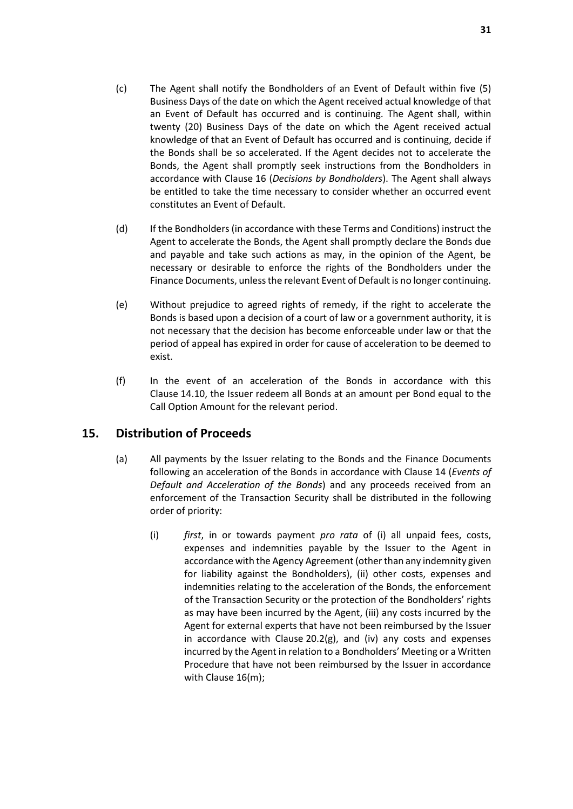- <span id="page-33-2"></span>(c) The Agent shall notify the Bondholders of an Event of Default within five (5) Business Days of the date on which the Agent received actual knowledge of that an Event of Default has occurred and is continuing. The Agent shall, within twenty (20) Business Days of the date on which the Agent received actual knowledge of that an Event of Default has occurred and is continuing, decide if the Bonds shall be so accelerated. If the Agent decides not to accelerate the Bonds, the Agent shall promptly seek instructions from the Bondholders in accordance with Clause [16](#page-34-0) (*[Decisions by Bondholders](#page-34-0)*). The Agent shall always be entitled to take the time necessary to consider whether an occurred event constitutes an Event of Default.
- (d) If the Bondholders (in accordance with these Terms and Conditions) instruct the Agent to accelerate the Bonds, the Agent shall promptly declare the Bonds due and payable and take such actions as may, in the opinion of the Agent, be necessary or desirable to enforce the rights of the Bondholders under the Finance Documents, unless the relevant Event of Default is no longer continuing.
- (e) Without prejudice to agreed rights of remedy, if the right to accelerate the Bonds is based upon a decision of a court of law or a government authority, it is not necessary that the decision has become enforceable under law or that the period of appeal has expired in order for cause of acceleration to be deemed to exist.
- (f) In the event of an acceleration of the Bonds in accordance with this Clause [14.10,](#page-32-1) the Issuer redeem all Bonds at an amount per Bond equal to the Call Option Amount for the relevant period.

# <span id="page-33-0"></span>**15. Distribution of Proceeds**

- <span id="page-33-1"></span>(a) All payments by the Issuer relating to the Bonds and the Finance Documents following an acceleration of the Bonds in accordance with Clause [14](#page-30-0) (*[Events of](#page-30-0)  [Default and Acceleration of the Bonds](#page-30-0)*) and any proceeds received from an enforcement of the Transaction Security shall be distributed in the following order of priority:
	- (i) *first*, in or towards payment *pro rata* of (i) all unpaid fees, costs, expenses and indemnities payable by the Issuer to the Agent in accordance with the Agency Agreement (other than any indemnity given for liability against the Bondholders), (ii) other costs, expenses and indemnities relating to the acceleration of the Bonds, the enforcement of the Transaction Security or the protection of the Bondholders' rights as may have been incurred by the Agent, (iii) any costs incurred by the Agent for external experts that have not been reimbursed by the Issuer in accordance with Clause [20.2\(g\),](#page-41-0) and (iv) any costs and expenses incurred by the Agent in relation to a Bondholders' Meeting or a Written Procedure that have not been reimbursed by the Issuer in accordance with Clause [16\(m\);](#page-37-1)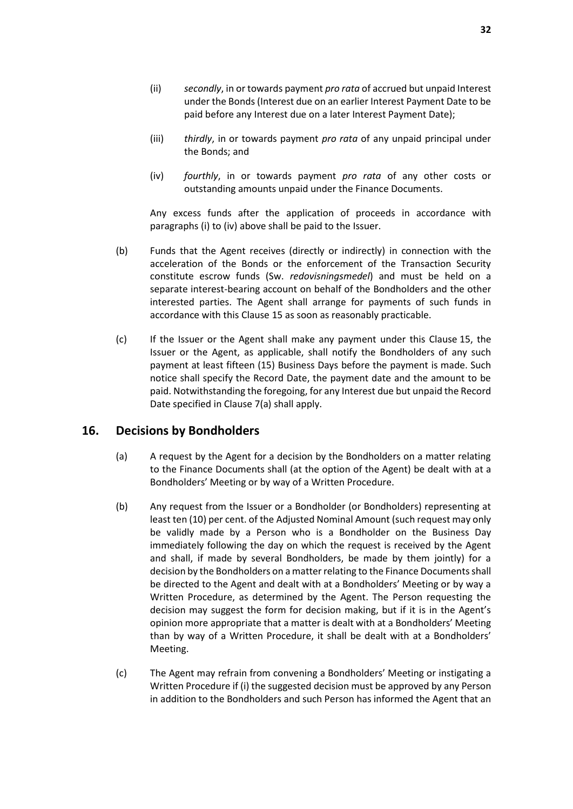- (iii) *thirdly*, in or towards payment *pro rata* of any unpaid principal under the Bonds; and
- <span id="page-34-1"></span>(iv) *fourthly*, in or towards payment *pro rata* of any other costs or outstanding amounts unpaid under the Finance Documents.

Any excess funds after the application of proceeds in accordance with paragraph[s \(i\)](#page-33-1) t[o \(iv\)](#page-34-1) above shall be paid to the Issuer.

- (b) Funds that the Agent receives (directly or indirectly) in connection with the acceleration of the Bonds or the enforcement of the Transaction Security constitute escrow funds (Sw. *redovisningsmedel*) and must be held on a separate interest-bearing account on behalf of the Bondholders and the other interested parties. The Agent shall arrange for payments of such funds in accordance with this Clause [15](#page-33-0) as soon as reasonably practicable.
- (c) If the Issuer or the Agent shall make any payment under this Clause [15,](#page-33-0) the Issuer or the Agent, as applicable, shall notify the Bondholders of any such payment at least fifteen (15) Business Days before the payment is made. Such notice shall specify the Record Date, the payment date and the amount to be paid. Notwithstanding the foregoing, for any Interest due but unpaid the Record Date specified in Clause [7\(a\)](#page-21-3) shall apply.

# <span id="page-34-0"></span>**16. Decisions by Bondholders**

- (a) A request by the Agent for a decision by the Bondholders on a matter relating to the Finance Documents shall (at the option of the Agent) be dealt with at a Bondholders' Meeting or by way of a Written Procedure.
- (b) Any request from the Issuer or a Bondholder (or Bondholders) representing at least ten (10) per cent. of the Adjusted Nominal Amount (such request may only be validly made by a Person who is a Bondholder on the Business Day immediately following the day on which the request is received by the Agent and shall, if made by several Bondholders, be made by them jointly) for a decision by the Bondholders on a matter relating to the Finance Documents shall be directed to the Agent and dealt with at a Bondholders' Meeting or by way a Written Procedure, as determined by the Agent. The Person requesting the decision may suggest the form for decision making, but if it is in the Agent's opinion more appropriate that a matter is dealt with at a Bondholders' Meeting than by way of a Written Procedure, it shall be dealt with at a Bondholders' Meeting.
- (c) The Agent may refrain from convening a Bondholders' Meeting or instigating a Written Procedure if (i) the suggested decision must be approved by any Person in addition to the Bondholders and such Person has informed the Agent that an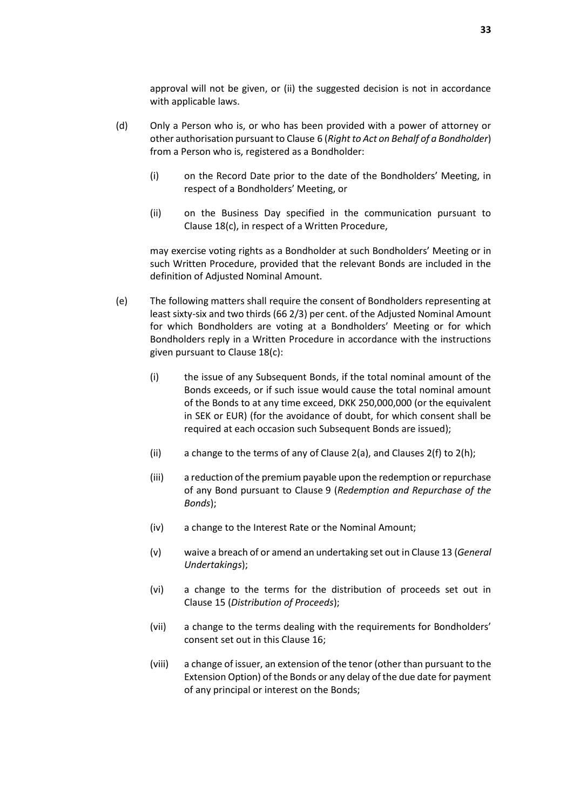approval will not be given, or (ii) the suggested decision is not in accordance with applicable laws.

- (d) Only a Person who is, or who has been provided with a power of attorney or other authorisation pursuant to Clause [6](#page-20-1) (*[Right to Act on Behalf of a Bondholder](#page-20-1)*) from a Person who is, registered as a Bondholder:
	- (i) on the Record Date prior to the date of the Bondholders' Meeting, in respect of a Bondholders' Meeting, or
	- (ii) on the Business Day specified in the communication pursuant to Clause [18\(c\),](#page-38-1) in respect of a Written Procedure,

may exercise voting rights as a Bondholder at such Bondholders' Meeting or in such Written Procedure, provided that the relevant Bonds are included in the definition of Adjusted Nominal Amount.

- <span id="page-35-1"></span><span id="page-35-0"></span>(e) The following matters shall require the consent of Bondholders representing at least sixty-six and two thirds (66 2/3) per cent. of the Adjusted Nominal Amount for which Bondholders are voting at a Bondholders' Meeting or for which Bondholders reply in a Written Procedure in accordance with the instructions given pursuant to Clause [18\(c\):](#page-38-1)
	- (i) the issue of any Subsequent Bonds, if the total nominal amount of the Bonds exceeds, or if such issue would cause the total nominal amount of the Bonds to at any time exceed, DKK 250,000,000 (or the equivalent in SEK or EUR) (for the avoidance of doubt, for which consent shall be required at each occasion such Subsequent Bonds are issued);
	- (ii) a change to the terms of any of Clause [2\(a\),](#page-14-1) and Clauses [2\(f\)](#page-15-2) t[o 2\(h\);](#page-15-3)
	- (iii) a reduction of the premium payable upon the redemption or repurchase of any Bond pursuant to Clause [9](#page-22-0) (*[Redemption and Repurchase of the](#page-22-0)  [Bonds](#page-22-0)*);
	- (iv) a change to the Interest Rate or the Nominal Amount;
	- (v) waive a breach of or amend an undertaking set out in Clause [13](#page-29-0) (*[General](#page-29-0)  [Undertakings](#page-29-0)*);
	- (vi) a change to the terms for the distribution of proceeds set out in Clause [15](#page-33-0) (*[Distribution of Proceeds](#page-33-0)*);
	- (vii) a change to the terms dealing with the requirements for Bondholders' consent set out in this Clause [16;](#page-34-0)
	- (viii) a change of issuer, an extension of the tenor (other than pursuant to the Extension Option) of the Bonds or any delay of the due date for payment of any principal or interest on the Bonds;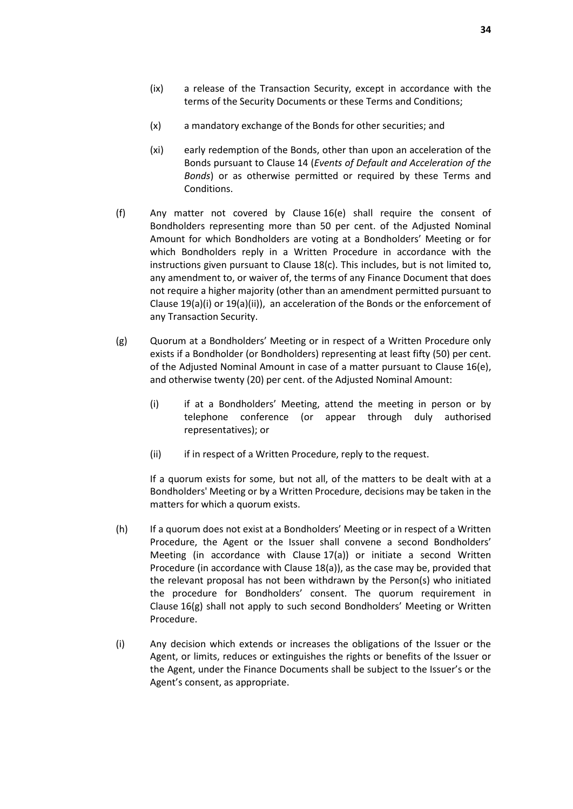- (ix) a release of the Transaction Security, except in accordance with the terms of the Security Documents or these Terms and Conditions;
- (x) a mandatory exchange of the Bonds for other securities; and
- (xi) early redemption of the Bonds, other than upon an acceleration of the Bonds pursuant to Clause [14](#page-30-0) (*[Events of Default and Acceleration of the](#page-30-0)  [Bonds](#page-30-0)*) or as otherwise permitted or required by these Terms and Conditions.
- <span id="page-36-1"></span>(f) Any matter not covered by Clause [16\(e\)](#page-35-1) shall require the consent of Bondholders representing more than 50 per cent. of the Adjusted Nominal Amount for which Bondholders are voting at a Bondholders' Meeting or for which Bondholders reply in a Written Procedure in accordance with the instructions given pursuant to Clause [18\(c\).](#page-38-1) This includes, but is not limited to, any amendment to, or waiver of, the terms of any Finance Document that does not require a higher majority (other than an amendment permitted pursuant to Clause [19\(a\)\(i\)](#page-39-2) o[r 19\(a\)\(ii\)\)](#page-39-3), an acceleration of the Bonds or the enforcement of any Transaction Security.
- <span id="page-36-0"></span>(g) Quorum at a Bondholders' Meeting or in respect of a Written Procedure only exists if a Bondholder (or Bondholders) representing at least fifty (50) per cent. of the Adjusted Nominal Amount in case of a matter pursuant to Clause [16\(e\),](#page-35-1) and otherwise twenty (20) per cent. of the Adjusted Nominal Amount:
	- (i) if at a Bondholders' Meeting, attend the meeting in person or by telephone conference (or appear through duly authorised representatives); or
	- (ii) if in respect of a Written Procedure, reply to the request.

If a quorum exists for some, but not all, of the matters to be dealt with at a Bondholders' Meeting or by a Written Procedure, decisions may be taken in the matters for which a quorum exists.

- (h) If a quorum does not exist at a Bondholders' Meeting or in respect of a Written Procedure, the Agent or the Issuer shall convene a second Bondholders' Meeting (in accordance with Clause [17\(a\)\)](#page-37-2) or initiate a second Written Procedure (in accordance with Clause [18\(a\)\)](#page-38-2), as the case may be, provided that the relevant proposal has not been withdrawn by the Person(s) who initiated the procedure for Bondholders' consent. The quorum requirement in Clause [16\(g\)](#page-36-0) shall not apply to such second Bondholders' Meeting or Written Procedure.
- (i) Any decision which extends or increases the obligations of the Issuer or the Agent, or limits, reduces or extinguishes the rights or benefits of the Issuer or the Agent, under the Finance Documents shall be subject to the Issuer's or the Agent's consent, as appropriate.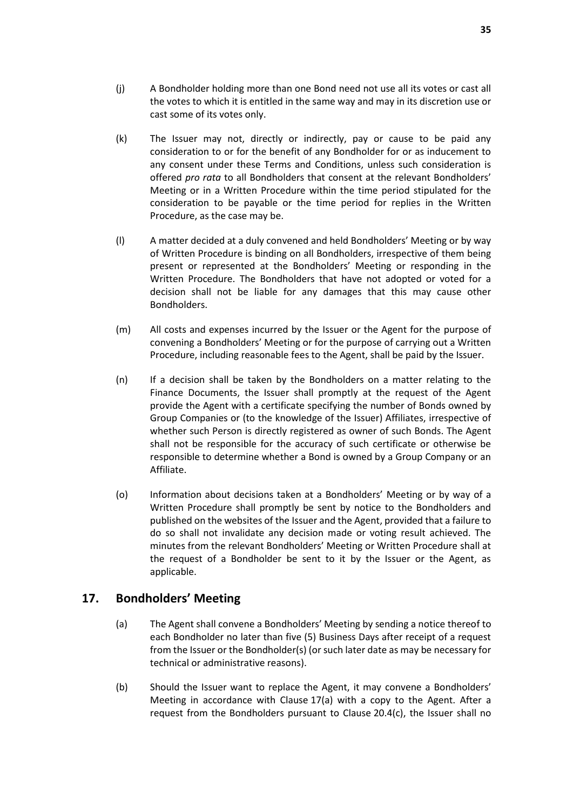- (j) A Bondholder holding more than one Bond need not use all its votes or cast all the votes to which it is entitled in the same way and may in its discretion use or cast some of its votes only.
- (k) The Issuer may not, directly or indirectly, pay or cause to be paid any consideration to or for the benefit of any Bondholder for or as inducement to any consent under these Terms and Conditions, unless such consideration is offered *pro rata* to all Bondholders that consent at the relevant Bondholders' Meeting or in a Written Procedure within the time period stipulated for the consideration to be payable or the time period for replies in the Written Procedure, as the case may be.
- (l) A matter decided at a duly convened and held Bondholders' Meeting or by way of Written Procedure is binding on all Bondholders, irrespective of them being present or represented at the Bondholders' Meeting or responding in the Written Procedure. The Bondholders that have not adopted or voted for a decision shall not be liable for any damages that this may cause other Bondholders.
- <span id="page-37-1"></span>(m) All costs and expenses incurred by the Issuer or the Agent for the purpose of convening a Bondholders' Meeting or for the purpose of carrying out a Written Procedure, including reasonable fees to the Agent, shall be paid by the Issuer.
- (n) If a decision shall be taken by the Bondholders on a matter relating to the Finance Documents, the Issuer shall promptly at the request of the Agent provide the Agent with a certificate specifying the number of Bonds owned by Group Companies or (to the knowledge of the Issuer) Affiliates, irrespective of whether such Person is directly registered as owner of such Bonds. The Agent shall not be responsible for the accuracy of such certificate or otherwise be responsible to determine whether a Bond is owned by a Group Company or an Affiliate.
- <span id="page-37-3"></span>(o) Information about decisions taken at a Bondholders' Meeting or by way of a Written Procedure shall promptly be sent by notice to the Bondholders and published on the websites of the Issuer and the Agent, provided that a failure to do so shall not invalidate any decision made or voting result achieved. The minutes from the relevant Bondholders' Meeting or Written Procedure shall at the request of a Bondholder be sent to it by the Issuer or the Agent, as applicable.

# <span id="page-37-2"></span><span id="page-37-0"></span>**17. Bondholders' Meeting**

- (a) The Agent shall convene a Bondholders' Meeting by sending a notice thereof to each Bondholder no later than five (5) Business Days after receipt of a request from the Issuer or the Bondholder(s) (or such later date as may be necessary for technical or administrative reasons).
- (b) Should the Issuer want to replace the Agent, it may convene a Bondholders' Meeting in accordance with Clause [17\(a\)](#page-37-2) with a copy to the Agent. After a request from the Bondholders pursuant to Clause [20.4\(c\),](#page-43-0) the Issuer shall no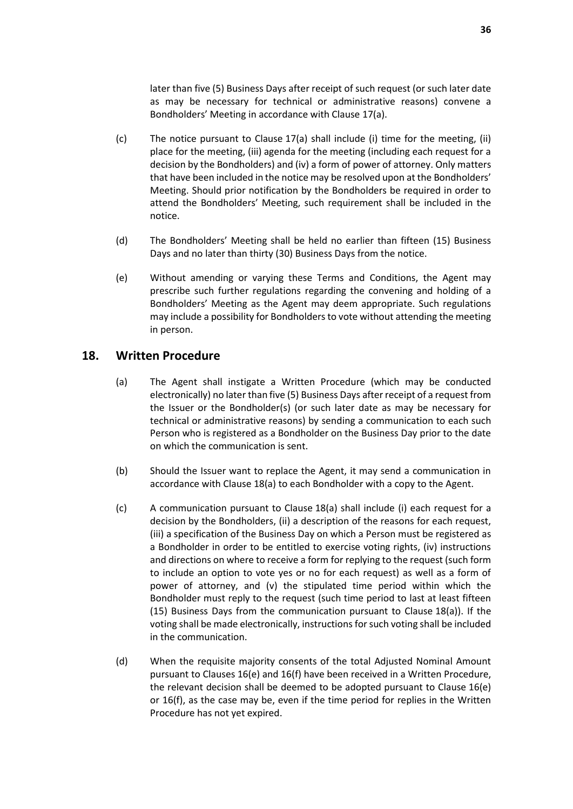later than five (5) Business Days after receipt of such request (or such later date as may be necessary for technical or administrative reasons) convene a Bondholders' Meeting in accordance with Clause [17\(a\).](#page-37-2)

- (c) The notice pursuant to Clause [17\(a\)](#page-37-2) shall include (i) time for the meeting, (ii) place for the meeting, (iii) agenda for the meeting (including each request for a decision by the Bondholders) and (iv) a form of power of attorney. Only matters that have been included in the notice may be resolved upon at the Bondholders' Meeting. Should prior notification by the Bondholders be required in order to attend the Bondholders' Meeting, such requirement shall be included in the notice.
- (d) The Bondholders' Meeting shall be held no earlier than fifteen (15) Business Days and no later than thirty (30) Business Days from the notice.
- (e) Without amending or varying these Terms and Conditions, the Agent may prescribe such further regulations regarding the convening and holding of a Bondholders' Meeting as the Agent may deem appropriate. Such regulations may include a possibility for Bondholders to vote without attending the meeting in person.

### <span id="page-38-2"></span><span id="page-38-0"></span>**18. Written Procedure**

- (a) The Agent shall instigate a Written Procedure (which may be conducted electronically) no later than five (5) Business Days after receipt of a request from the Issuer or the Bondholder(s) (or such later date as may be necessary for technical or administrative reasons) by sending a communication to each such Person who is registered as a Bondholder on the Business Day prior to the date on which the communication is sent.
- (b) Should the Issuer want to replace the Agent, it may send a communication in accordance with Clause [18\(a\)](#page-38-2) to each Bondholder with a copy to the Agent.
- <span id="page-38-1"></span>(c) A communication pursuant to Clause [18\(a\)](#page-38-2) shall include (i) each request for a decision by the Bondholders, (ii) a description of the reasons for each request, (iii) a specification of the Business Day on which a Person must be registered as a Bondholder in order to be entitled to exercise voting rights, (iv) instructions and directions on where to receive a form for replying to the request (such form to include an option to vote yes or no for each request) as well as a form of power of attorney, and (v) the stipulated time period within which the Bondholder must reply to the request (such time period to last at least fifteen (15) Business Days from the communication pursuant to Clause [18\(a\)\)](#page-38-2). If the voting shall be made electronically, instructions for such voting shall be included in the communication.
- (d) When the requisite majority consents of the total Adjusted Nominal Amount pursuant to Clauses [16\(e\)](#page-35-1) and [16\(f\)](#page-36-1) have been received in a Written Procedure, the relevant decision shall be deemed to be adopted pursuant to Clause [16\(e\)](#page-35-1) or [16\(f\),](#page-36-1) as the case may be, even if the time period for replies in the Written Procedure has not yet expired.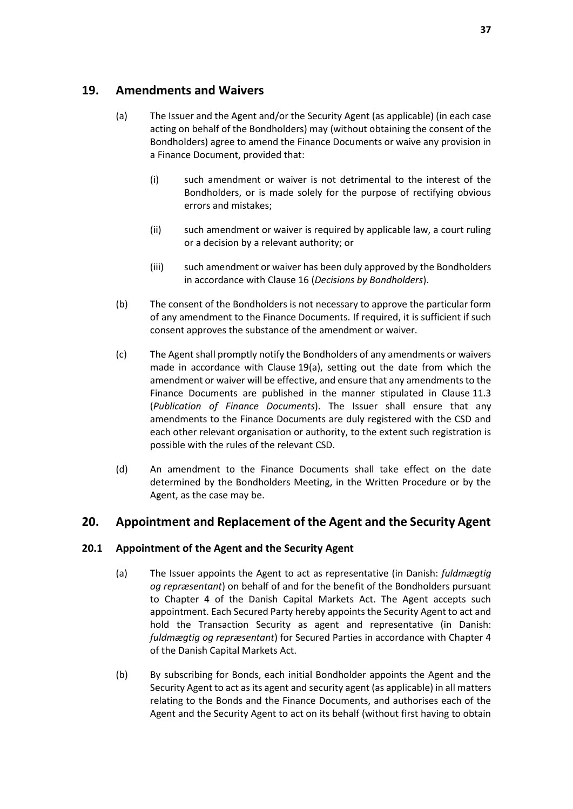# <span id="page-39-4"></span><span id="page-39-0"></span>**19. Amendments and Waivers**

- <span id="page-39-2"></span>(a) The Issuer and the Agent and/or the Security Agent (as applicable) (in each case acting on behalf of the Bondholders) may (without obtaining the consent of the Bondholders) agree to amend the Finance Documents or waive any provision in a Finance Document, provided that:
	- (i) such amendment or waiver is not detrimental to the interest of the Bondholders, or is made solely for the purpose of rectifying obvious errors and mistakes;
	- (ii) such amendment or waiver is required by applicable law, a court ruling or a decision by a relevant authority; or
	- (iii) such amendment or waiver has been duly approved by the Bondholders in accordance with Clause [16](#page-34-0) (*[Decisions by Bondholders](#page-34-0)*).
- <span id="page-39-3"></span>(b) The consent of the Bondholders is not necessary to approve the particular form of any amendment to the Finance Documents. If required, it is sufficient if such consent approves the substance of the amendment or waiver.
- <span id="page-39-6"></span>(c) The Agent shall promptly notify the Bondholders of any amendments or waivers made in accordance with Clause [19\(a\),](#page-39-4) setting out the date from which the amendment or waiver will be effective, and ensure that any amendments to the Finance Documents are published in the manner stipulated in Clause [11.3](#page-27-2) (*[Publication of Finance Documents](#page-27-2)*). The Issuer shall ensure that any amendments to the Finance Documents are duly registered with the CSD and each other relevant organisation or authority, to the extent such registration is possible with the rules of the relevant CSD.
- (d) An amendment to the Finance Documents shall take effect on the date determined by the Bondholders Meeting, in the Written Procedure or by the Agent, as the case may be.

# <span id="page-39-1"></span>**20. Appointment and Replacement of the Agent and the Security Agent**

### <span id="page-39-5"></span>**20.1 Appointment of the Agent and the Security Agent**

- (a) The Issuer appoints the Agent to act as representative (in Danish: *fuldmægtig og repræsentant*) on behalf of and for the benefit of the Bondholders pursuant to Chapter 4 of the Danish Capital Markets Act. The Agent accepts such appointment. Each Secured Party hereby appoints the Security Agent to act and hold the Transaction Security as agent and representative (in Danish: *fuldmægtig og repræsentant*) for Secured Parties in accordance with Chapter 4 of the Danish Capital Markets Act.
- (b) By subscribing for Bonds, each initial Bondholder appoints the Agent and the Security Agent to act as its agent and security agent (as applicable) in all matters relating to the Bonds and the Finance Documents, and authorises each of the Agent and the Security Agent to act on its behalf (without first having to obtain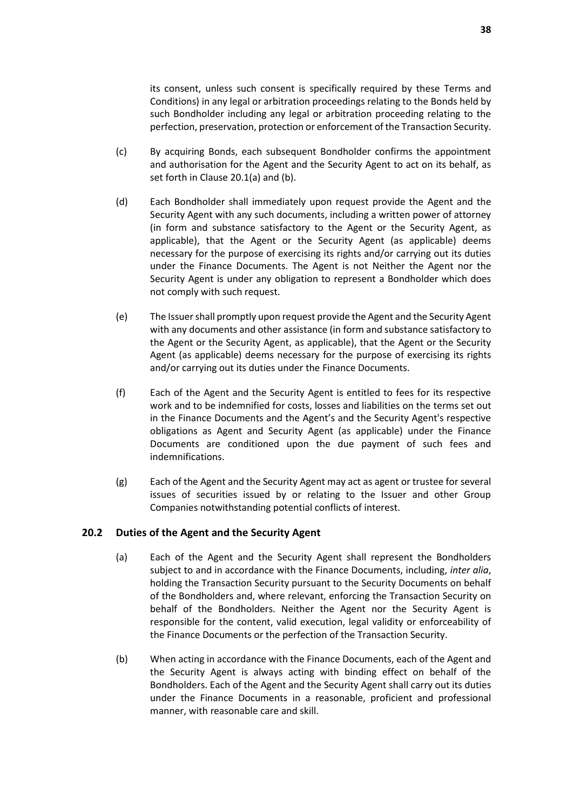its consent, unless such consent is specifically required by these Terms and Conditions) in any legal or arbitration proceedings relating to the Bonds held by such Bondholder including any legal or arbitration proceeding relating to the perfection, preservation, protection or enforcement of the Transaction Security.

- (c) By acquiring Bonds, each subsequent Bondholder confirms the appointment and authorisation for the Agent and the Security Agent to act on its behalf, as set forth in Clause 20.1(a) and (b).
- (d) Each Bondholder shall immediately upon request provide the Agent and the Security Agent with any such documents, including a written power of attorney (in form and substance satisfactory to the Agent or the Security Agent, as applicable), that the Agent or the Security Agent (as applicable) deems necessary for the purpose of exercising its rights and/or carrying out its duties under the Finance Documents. The Agent is not Neither the Agent nor the Security Agent is under any obligation to represent a Bondholder which does not comply with such request.
- (e) The Issuer shall promptly upon request provide the Agent and the Security Agent with any documents and other assistance (in form and substance satisfactory to the Agent or the Security Agent, as applicable), that the Agent or the Security Agent (as applicable) deems necessary for the purpose of exercising its rights and/or carrying out its duties under the Finance Documents.
- (f) Each of the Agent and the Security Agent is entitled to fees for its respective work and to be indemnified for costs, losses and liabilities on the terms set out in the Finance Documents and the Agent's and the Security Agent's respective obligations as Agent and Security Agent (as applicable) under the Finance Documents are conditioned upon the due payment of such fees and indemnifications.
- (g) Each of the Agent and the Security Agent may act as agent or trustee for several issues of securities issued by or relating to the Issuer and other Group Companies notwithstanding potential conflicts of interest.

#### **20.2 Duties of the Agent and the Security Agent**

- (a) Each of the Agent and the Security Agent shall represent the Bondholders subject to and in accordance with the Finance Documents, including, *inter alia*, holding the Transaction Security pursuant to the Security Documents on behalf of the Bondholders and, where relevant, enforcing the Transaction Security on behalf of the Bondholders. Neither the Agent nor the Security Agent is responsible for the content, valid execution, legal validity or enforceability of the Finance Documents or the perfection of the Transaction Security.
- (b) When acting in accordance with the Finance Documents, each of the Agent and the Security Agent is always acting with binding effect on behalf of the Bondholders. Each of the Agent and the Security Agent shall carry out its duties under the Finance Documents in a reasonable, proficient and professional manner, with reasonable care and skill.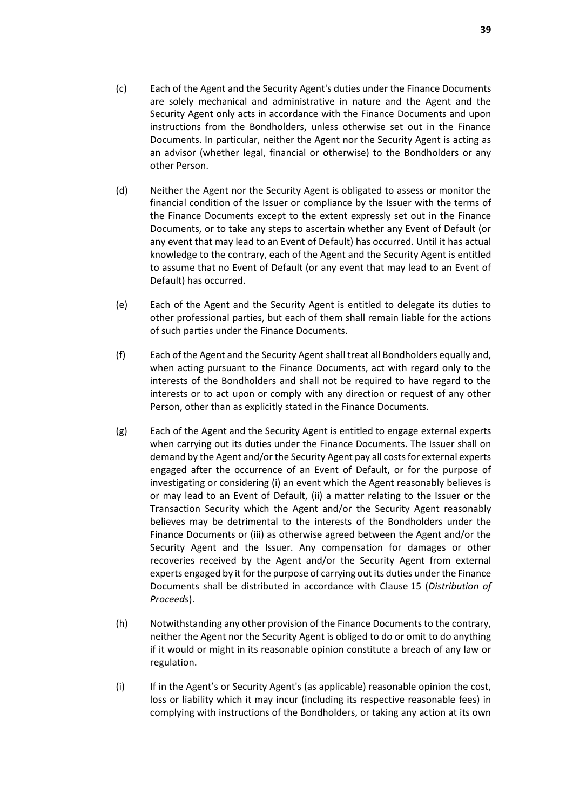- (c) Each of the Agent and the Security Agent's duties under the Finance Documents are solely mechanical and administrative in nature and the Agent and the Security Agent only acts in accordance with the Finance Documents and upon instructions from the Bondholders, unless otherwise set out in the Finance Documents. In particular, neither the Agent nor the Security Agent is acting as an advisor (whether legal, financial or otherwise) to the Bondholders or any other Person.
- (d) Neither the Agent nor the Security Agent is obligated to assess or monitor the financial condition of the Issuer or compliance by the Issuer with the terms of the Finance Documents except to the extent expressly set out in the Finance Documents, or to take any steps to ascertain whether any Event of Default (or any event that may lead to an Event of Default) has occurred. Until it has actual knowledge to the contrary, each of the Agent and the Security Agent is entitled to assume that no Event of Default (or any event that may lead to an Event of Default) has occurred.
- (e) Each of the Agent and the Security Agent is entitled to delegate its duties to other professional parties, but each of them shall remain liable for the actions of such parties under the Finance Documents.
- (f) Each of the Agent and the Security Agent shall treat all Bondholders equally and, when acting pursuant to the Finance Documents, act with regard only to the interests of the Bondholders and shall not be required to have regard to the interests or to act upon or comply with any direction or request of any other Person, other than as explicitly stated in the Finance Documents.
- <span id="page-41-0"></span>(g) Each of the Agent and the Security Agent is entitled to engage external experts when carrying out its duties under the Finance Documents. The Issuer shall on demand by the Agent and/or the Security Agent pay all costs for external experts engaged after the occurrence of an Event of Default, or for the purpose of investigating or considering (i) an event which the Agent reasonably believes is or may lead to an Event of Default, (ii) a matter relating to the Issuer or the Transaction Security which the Agent and/or the Security Agent reasonably believes may be detrimental to the interests of the Bondholders under the Finance Documents or (iii) as otherwise agreed between the Agent and/or the Security Agent and the Issuer. Any compensation for damages or other recoveries received by the Agent and/or the Security Agent from external experts engaged by it for the purpose of carrying out its duties under the Finance Documents shall be distributed in accordance with Clause [15](#page-33-0) (*[Distribution of](#page-33-0)  [Proceeds](#page-33-0)*).
- (h) Notwithstanding any other provision of the Finance Documents to the contrary, neither the Agent nor the Security Agent is obliged to do or omit to do anything if it would or might in its reasonable opinion constitute a breach of any law or regulation.
- <span id="page-41-1"></span>(i) If in the Agent's or Security Agent's (as applicable) reasonable opinion the cost, loss or liability which it may incur (including its respective reasonable fees) in complying with instructions of the Bondholders, or taking any action at its own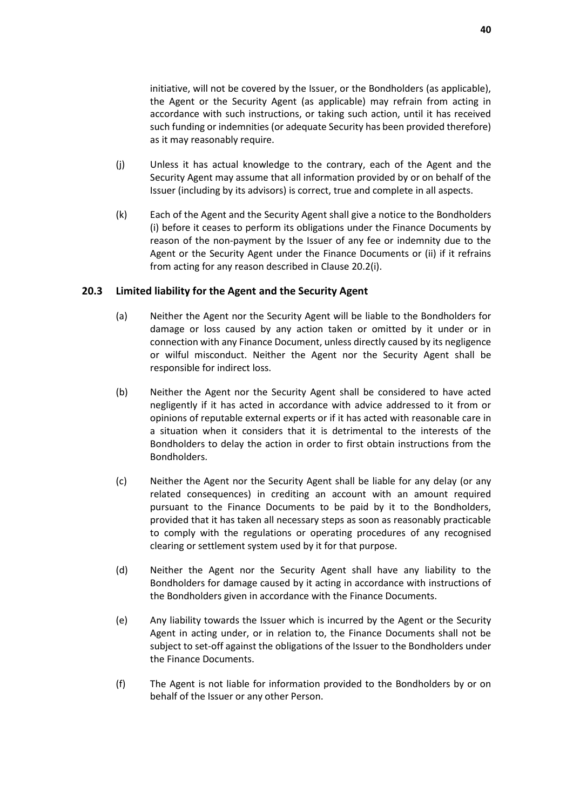initiative, will not be covered by the Issuer, or the Bondholders (as applicable), the Agent or the Security Agent (as applicable) may refrain from acting in accordance with such instructions, or taking such action, until it has received such funding or indemnities (or adequate Security has been provided therefore) as it may reasonably require.

- (j) Unless it has actual knowledge to the contrary, each of the Agent and the Security Agent may assume that all information provided by or on behalf of the Issuer (including by its advisors) is correct, true and complete in all aspects.
- <span id="page-42-0"></span>(k) Each of the Agent and the Security Agent shall give a notice to the Bondholders (i) before it ceases to perform its obligations under the Finance Documents by reason of the non-payment by the Issuer of any fee or indemnity due to the Agent or the Security Agent under the Finance Documents or (ii) if it refrains from acting for any reason described in Clause [20.2\(i\).](#page-41-1)

#### **20.3 Limited liability for the Agent and the Security Agent**

- (a) Neither the Agent nor the Security Agent will be liable to the Bondholders for damage or loss caused by any action taken or omitted by it under or in connection with any Finance Document, unless directly caused by its negligence or wilful misconduct. Neither the Agent nor the Security Agent shall be responsible for indirect loss.
- (b) Neither the Agent nor the Security Agent shall be considered to have acted negligently if it has acted in accordance with advice addressed to it from or opinions of reputable external experts or if it has acted with reasonable care in a situation when it considers that it is detrimental to the interests of the Bondholders to delay the action in order to first obtain instructions from the Bondholders.
- (c) Neither the Agent nor the Security Agent shall be liable for any delay (or any related consequences) in crediting an account with an amount required pursuant to the Finance Documents to be paid by it to the Bondholders, provided that it has taken all necessary steps as soon as reasonably practicable to comply with the regulations or operating procedures of any recognised clearing or settlement system used by it for that purpose.
- (d) Neither the Agent nor the Security Agent shall have any liability to the Bondholders for damage caused by it acting in accordance with instructions of the Bondholders given in accordance with the Finance Documents.
- (e) Any liability towards the Issuer which is incurred by the Agent or the Security Agent in acting under, or in relation to, the Finance Documents shall not be subject to set-off against the obligations of the Issuer to the Bondholders under the Finance Documents.
- (f) The Agent is not liable for information provided to the Bondholders by or on behalf of the Issuer or any other Person.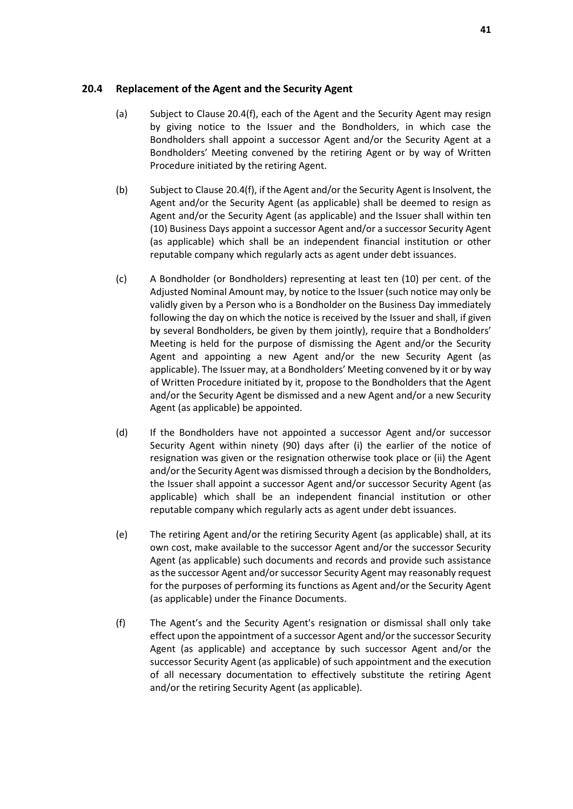#### <span id="page-43-2"></span>**20.4 Replacement of the Agent and the Security Agent**

- (a) Subject to Clause [20.4\(f\),](#page-43-1) each of the Agent and the Security Agent may resign by giving notice to the Issuer and the Bondholders, in which case the Bondholders shall appoint a successor Agent and/or the Security Agent at a Bondholders' Meeting convened by the retiring Agent or by way of Written Procedure initiated by the retiring Agent.
- (b) Subject to Clause [20.4\(f\),](#page-43-1) if the Agent and/or the Security Agent is Insolvent, the Agent and/or the Security Agent (as applicable) shall be deemed to resign as Agent and/or the Security Agent (as applicable) and the Issuer shall within ten (10) Business Days appoint a successor Agent and/or a successor Security Agent (as applicable) which shall be an independent financial institution or other reputable company which regularly acts as agent under debt issuances.
- <span id="page-43-0"></span>(c) A Bondholder (or Bondholders) representing at least ten (10) per cent. of the Adjusted Nominal Amount may, by notice to the Issuer (such notice may only be validly given by a Person who is a Bondholder on the Business Day immediately following the day on which the notice is received by the Issuer and shall, if given by several Bondholders, be given by them jointly), require that a Bondholders' Meeting is held for the purpose of dismissing the Agent and/or the Security Agent and appointing a new Agent and/or the new Security Agent (as applicable). The Issuer may, at a Bondholders' Meeting convened by it or by way of Written Procedure initiated by it, propose to the Bondholders that the Agent and/or the Security Agent be dismissed and a new Agent and/or a new Security Agent (as applicable) be appointed.
- (d) If the Bondholders have not appointed a successor Agent and/or successor Security Agent within ninety (90) days after (i) the earlier of the notice of resignation was given or the resignation otherwise took place or (ii) the Agent and/or the Security Agent was dismissed through a decision by the Bondholders, the Issuer shall appoint a successor Agent and/or successor Security Agent (as applicable) which shall be an independent financial institution or other reputable company which regularly acts as agent under debt issuances.
- (e) The retiring Agent and/or the retiring Security Agent (as applicable) shall, at its own cost, make available to the successor Agent and/or the successor Security Agent (as applicable) such documents and records and provide such assistance as the successor Agent and/or successor Security Agent may reasonably request for the purposes of performing its functions as Agent and/or the Security Agent (as applicable) under the Finance Documents.
- <span id="page-43-1"></span>(f) The Agent's and the Security Agent's resignation or dismissal shall only take effect upon the appointment of a successor Agent and/or the successor Security Agent (as applicable) and acceptance by such successor Agent and/or the successor Security Agent (as applicable) of such appointment and the execution of all necessary documentation to effectively substitute the retiring Agent and/or the retiring Security Agent (as applicable).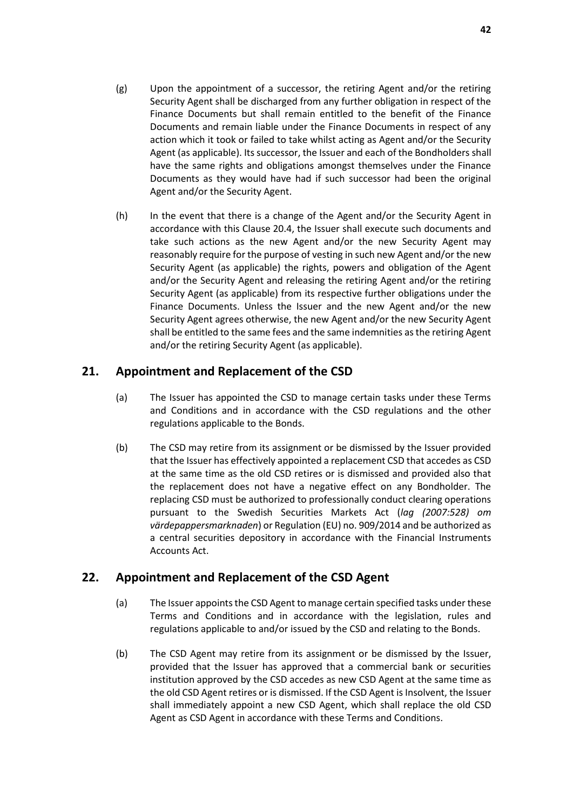- (g) Upon the appointment of a successor, the retiring Agent and/or the retiring Security Agent shall be discharged from any further obligation in respect of the Finance Documents but shall remain entitled to the benefit of the Finance Documents and remain liable under the Finance Documents in respect of any action which it took or failed to take whilst acting as Agent and/or the Security Agent (as applicable). Its successor, the Issuer and each of the Bondholders shall have the same rights and obligations amongst themselves under the Finance Documents as they would have had if such successor had been the original Agent and/or the Security Agent.
- (h) In the event that there is a change of the Agent and/or the Security Agent in accordance with this Clause [20.4,](#page-43-2) the Issuer shall execute such documents and take such actions as the new Agent and/or the new Security Agent may reasonably require for the purpose of vesting in such new Agent and/or the new Security Agent (as applicable) the rights, powers and obligation of the Agent and/or the Security Agent and releasing the retiring Agent and/or the retiring Security Agent (as applicable) from its respective further obligations under the Finance Documents. Unless the Issuer and the new Agent and/or the new Security Agent agrees otherwise, the new Agent and/or the new Security Agent shall be entitled to the same fees and the same indemnities as the retiring Agent and/or the retiring Security Agent (as applicable).

# <span id="page-44-0"></span>**21. Appointment and Replacement of the CSD**

- (a) The Issuer has appointed the CSD to manage certain tasks under these Terms and Conditions and in accordance with the CSD regulations and the other regulations applicable to the Bonds.
- (b) The CSD may retire from its assignment or be dismissed by the Issuer provided that the Issuer has effectively appointed a replacement CSD that accedes as CSD at the same time as the old CSD retires or is dismissed and provided also that the replacement does not have a negative effect on any Bondholder. The replacing CSD must be authorized to professionally conduct clearing operations pursuant to the Swedish Securities Markets Act (*lag (2007:528) om värdepappersmarknaden*) or Regulation (EU) no. 909/2014 and be authorized as a central securities depository in accordance with the Financial Instruments Accounts Act.

# <span id="page-44-1"></span>**22. Appointment and Replacement of the CSD Agent**

- (a) The Issuer appoints the CSD Agent to manage certain specified tasks under these Terms and Conditions and in accordance with the legislation, rules and regulations applicable to and/or issued by the CSD and relating to the Bonds.
- (b) The CSD Agent may retire from its assignment or be dismissed by the Issuer, provided that the Issuer has approved that a commercial bank or securities institution approved by the CSD accedes as new CSD Agent at the same time as the old CSD Agent retires or is dismissed. If the CSD Agent is Insolvent, the Issuer shall immediately appoint a new CSD Agent, which shall replace the old CSD Agent as CSD Agent in accordance with these Terms and Conditions.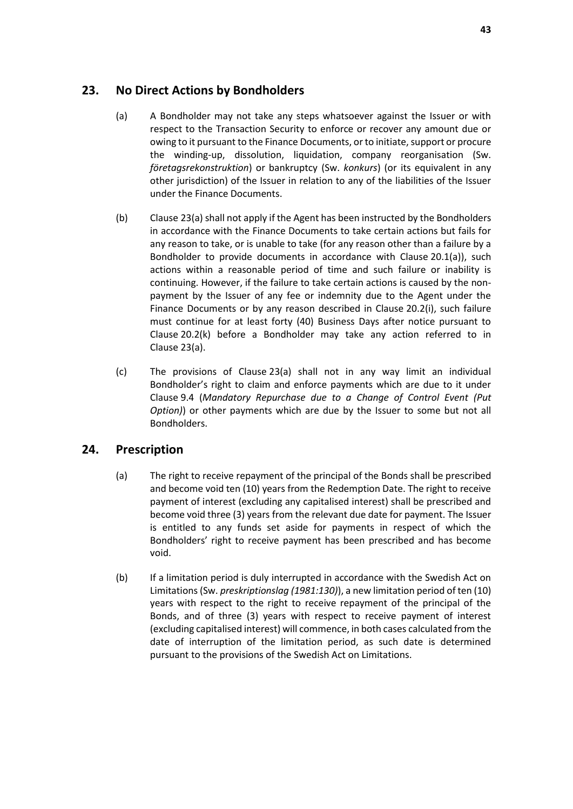# <span id="page-45-2"></span><span id="page-45-0"></span>**23. No Direct Actions by Bondholders**

- (a) A Bondholder may not take any steps whatsoever against the Issuer or with respect to the Transaction Security to enforce or recover any amount due or owing to it pursuant to the Finance Documents, or to initiate, support or procure the winding-up, dissolution, liquidation, company reorganisation (Sw. *företagsrekonstruktion*) or bankruptcy (Sw. *konkurs*) (or its equivalent in any other jurisdiction) of the Issuer in relation to any of the liabilities of the Issuer under the Finance Documents.
- (b) Clause [23\(a\)](#page-45-2) shall not apply if the Agent has been instructed by the Bondholders in accordance with the Finance Documents to take certain actions but fails for any reason to take, or is unable to take (for any reason other than a failure by a Bondholder to provide documents in accordance with Clause [20.1\(a\)\)](#page-39-5), such actions within a reasonable period of time and such failure or inability is continuing. However, if the failure to take certain actions is caused by the nonpayment by the Issuer of any fee or indemnity due to the Agent under the Finance Documents or by any reason described in Clause [20.2\(i\),](#page-41-1) such failure must continue for at least forty (40) Business Days after notice pursuant to Clause [20.2\(k\)](#page-42-0) before a Bondholder may take any action referred to in Clause [23\(a\).](#page-45-2)
- (c) The provisions of Clause [23\(a\)](#page-45-2) shall not in any way limit an individual Bondholder's right to claim and enforce payments which are due to it under Clause [9.4](#page-23-1) (*[Mandatory Repurchase due to a Change of Control Event](#page-23-1) (Put [Option\)](#page-23-1)*) or other payments which are due by the Issuer to some but not all Bondholders.

# <span id="page-45-1"></span>**24. Prescription**

- (a) The right to receive repayment of the principal of the Bonds shall be prescribed and become void ten (10) years from the Redemption Date. The right to receive payment of interest (excluding any capitalised interest) shall be prescribed and become void three (3) years from the relevant due date for payment. The Issuer is entitled to any funds set aside for payments in respect of which the Bondholders' right to receive payment has been prescribed and has become void.
- (b) If a limitation period is duly interrupted in accordance with the Swedish Act on Limitations (Sw. *preskriptionslag (1981:130)*), a new limitation period of ten (10) years with respect to the right to receive repayment of the principal of the Bonds, and of three (3) years with respect to receive payment of interest (excluding capitalised interest) will commence, in both cases calculated from the date of interruption of the limitation period, as such date is determined pursuant to the provisions of the Swedish Act on Limitations.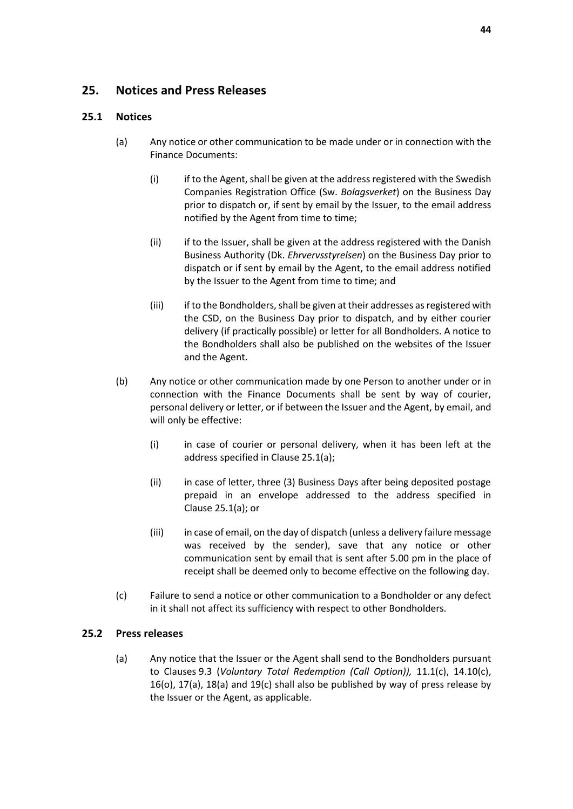# <span id="page-46-0"></span>**25. Notices and Press Releases**

### <span id="page-46-1"></span>**25.1 Notices**

- (a) Any notice or other communication to be made under or in connection with the Finance Documents:
	- (i) if to the Agent, shall be given at the address registered with the Swedish Companies Registration Office (Sw. *Bolagsverket*) on the Business Day prior to dispatch or, if sent by email by the Issuer, to the email address notified by the Agent from time to time;
	- (ii) if to the Issuer, shall be given at the address registered with the Danish Business Authority (Dk. *Ehrvervsstyrelsen*) on the Business Day prior to dispatch or if sent by email by the Agent, to the email address notified by the Issuer to the Agent from time to time; and
	- (iii) if to the Bondholders, shall be given at their addresses as registered with the CSD, on the Business Day prior to dispatch, and by either courier delivery (if practically possible) or letter for all Bondholders. A notice to the Bondholders shall also be published on the websites of the Issuer and the Agent.
- (b) Any notice or other communication made by one Person to another under or in connection with the Finance Documents shall be sent by way of courier, personal delivery or letter, or if between the Issuer and the Agent, by email, and will only be effective:
	- (i) in case of courier or personal delivery, when it has been left at the address specified in Clause [25.1\(a\);](#page-46-1)
	- (ii) in case of letter, three (3) Business Days after being deposited postage prepaid in an envelope addressed to the address specified in Clause [25.1\(a\);](#page-46-1) or
	- (iii) in case of email, on the day of dispatch (unless a delivery failure message was received by the sender), save that any notice or other communication sent by email that is sent after 5.00 pm in the place of receipt shall be deemed only to become effective on the following day.
- (c) Failure to send a notice or other communication to a Bondholder or any defect in it shall not affect its sufficiency with respect to other Bondholders.

### <span id="page-46-2"></span>**25.2 Press releases**

(a) Any notice that the Issuer or the Agent shall send to the Bondholders pursuant to Clauses [9.3](#page-22-1) (*[Voluntary Total Redemption \(Call Option\)\)](#page-22-1),* [11.1\(c\),](#page-26-1) [14.10\(c\),](#page-33-2) [16\(o\),](#page-37-3) [17\(a\),](#page-37-2) [18\(a\)](#page-38-2) and [19\(c\)](#page-39-6) shall also be published by way of press release by the Issuer or the Agent, as applicable.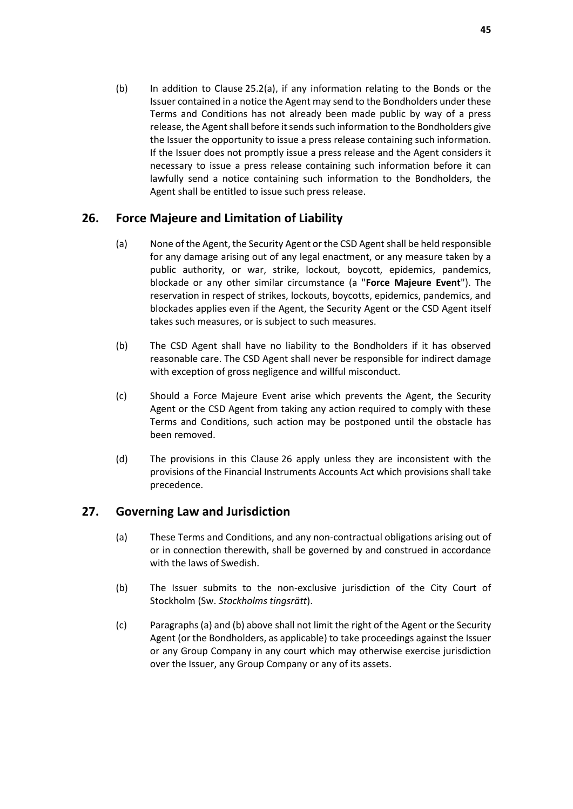(b) In addition to Clause [25.2\(a\),](#page-46-2) if any information relating to the Bonds or the Issuer contained in a notice the Agent may send to the Bondholders under these Terms and Conditions has not already been made public by way of a press release, the Agent shall before it sends such information to the Bondholders give the Issuer the opportunity to issue a press release containing such information. If the Issuer does not promptly issue a press release and the Agent considers it necessary to issue a press release containing such information before it can lawfully send a notice containing such information to the Bondholders, the Agent shall be entitled to issue such press release.

# <span id="page-47-2"></span><span id="page-47-0"></span>**26. Force Majeure and Limitation of Liability**

- (a) None of the Agent, the Security Agent or the CSD Agentshall be held responsible for any damage arising out of any legal enactment, or any measure taken by a public authority, or war, strike, lockout, boycott, epidemics, pandemics, blockade or any other similar circumstance (a "**Force Majeure Event**"). The reservation in respect of strikes, lockouts, boycotts, epidemics, pandemics, and blockades applies even if the Agent, the Security Agent or the CSD Agent itself takes such measures, or is subject to such measures.
- (b) The CSD Agent shall have no liability to the Bondholders if it has observed reasonable care. The CSD Agent shall never be responsible for indirect damage with exception of gross negligence and willful misconduct.
- (c) Should a Force Majeure Event arise which prevents the Agent, the Security Agent or the CSD Agent from taking any action required to comply with these Terms and Conditions, such action may be postponed until the obstacle has been removed.
- (d) The provisions in this Clause [26](#page-47-0) apply unless they are inconsistent with the provisions of the Financial Instruments Accounts Act which provisions shall take precedence.

# <span id="page-47-1"></span>**27. Governing Law and Jurisdiction**

- (a) These Terms and Conditions, and any non-contractual obligations arising out of or in connection therewith, shall be governed by and construed in accordance with the laws of Swedish.
- (b) The Issuer submits to the non-exclusive jurisdiction of the City Court of Stockholm (Sw. *Stockholms tingsrätt*).
- (c) Paragraphs (a) and (b) above shall not limit the right of the Agent or the Security Agent (or the Bondholders, as applicable) to take proceedings against the Issuer or any Group Company in any court which may otherwise exercise jurisdiction over the Issuer, any Group Company or any of its assets.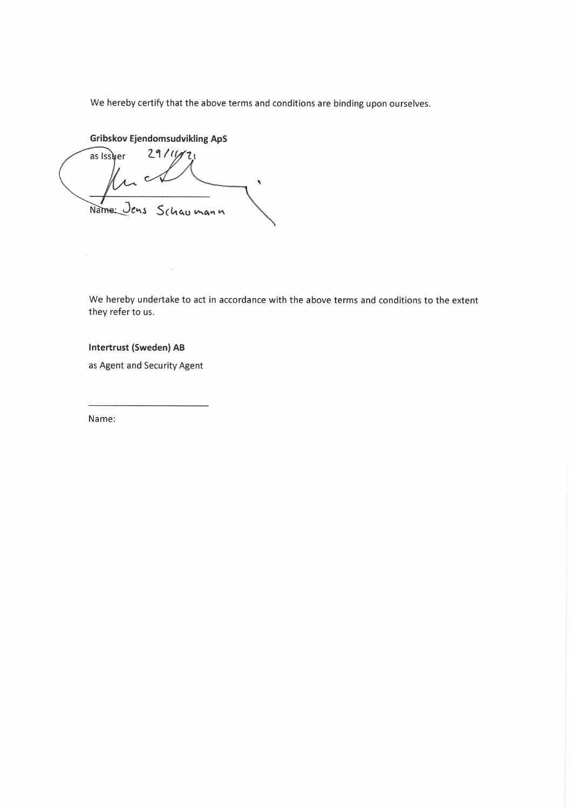We hereby certify that the above terms and conditions are binding upon ourselves.

**Gribskov Ejendomsudvikling ApS** 

 $2911177$ as Issuer  $\epsilon$  $\ddot{\phantom{a}}$ Name: Jens Schaumann

We hereby undertake to act in accordance with the above terms and conditions to the extent they refer to us.

**Intertrust (Sweden) AB** 

as Agent and Security Agent

Name: